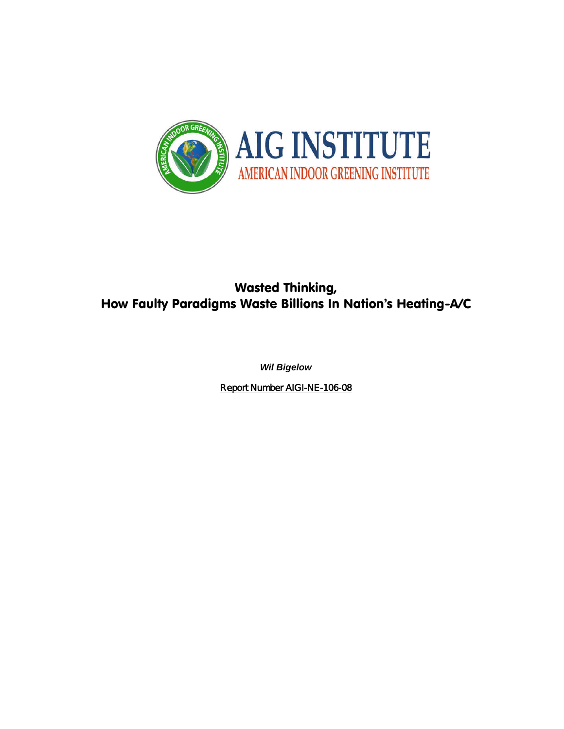

# Wasted Thinking, How Faulty Paradigms Waste Billions In Nation's Heating-A/C

*Wil Bigelow*

Report Number AIGI-NE-106-08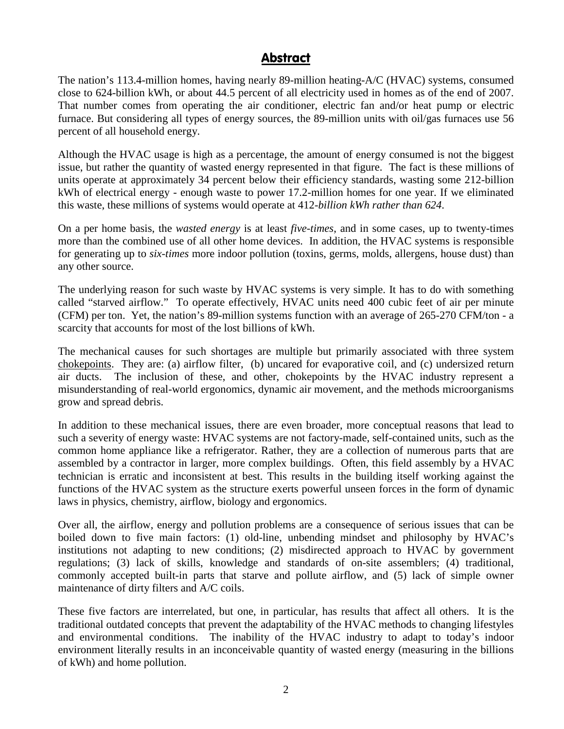## **Abstract**

The nation's 113.4-million homes, having nearly 89-million heating-A/C (HVAC) systems, consumed close to 624-billion kWh, or about 44.5 percent of all electricity used in homes as of the end of 2007. That number comes from operating the air conditioner, electric fan and/or heat pump or electric furnace. But considering all types of energy sources, the 89-million units with oil/gas furnaces use 56 percent of all household energy.

Although the HVAC usage is high as a percentage, the amount of energy consumed is not the biggest issue, but rather the quantity of wasted energy represented in that figure. The fact is these millions of units operate at approximately 34 percent below their efficiency standards, wasting some 212-billion kWh of electrical energy - enough waste to power 17.2-million homes for one year. If we eliminated this waste, these millions of systems would operate at 412*-billion kWh rather than 624*.

On a per home basis, the *wasted energy* is at least *five-times*, and in some cases, up to twenty-times more than the combined use of all other home devices. In addition, the HVAC systems is responsible for generating up to *six-times* more indoor pollution (toxins, germs, molds, allergens, house dust) than any other source.

The underlying reason for such waste by HVAC systems is very simple. It has to do with something called "starved airflow." To operate effectively, HVAC units need 400 cubic feet of air per minute (CFM) per ton. Yet, the nation's 89-million systems function with an average of 265-270 CFM/ton - a scarcity that accounts for most of the lost billions of kWh.

The mechanical causes for such shortages are multiple but primarily associated with three system chokepoints. They are: (a) airflow filter, (b) uncared for evaporative coil, and (c) undersized return air ducts. The inclusion of these, and other, chokepoints by the HVAC industry represent a misunderstanding of real-world ergonomics, dynamic air movement, and the methods microorganisms grow and spread debris.

In addition to these mechanical issues, there are even broader, more conceptual reasons that lead to such a severity of energy waste: HVAC systems are not factory-made, self-contained units, such as the common home appliance like a refrigerator. Rather, they are a collection of numerous parts that are assembled by a contractor in larger, more complex buildings. Often, this field assembly by a HVAC technician is erratic and inconsistent at best. This results in the building itself working against the functions of the HVAC system as the structure exerts powerful unseen forces in the form of dynamic laws in physics, chemistry, airflow, biology and ergonomics.

Over all, the airflow, energy and pollution problems are a consequence of serious issues that can be boiled down to five main factors: (1) old-line, unbending mindset and philosophy by HVAC's institutions not adapting to new conditions; (2) misdirected approach to HVAC by government regulations; (3) lack of skills, knowledge and standards of on-site assemblers; (4) traditional, commonly accepted built-in parts that starve and pollute airflow, and (5) lack of simple owner maintenance of dirty filters and A/C coils.

These five factors are interrelated, but one, in particular, has results that affect all others. It is the traditional outdated concepts that prevent the adaptability of the HVAC methods to changing lifestyles and environmental conditions. The inability of the HVAC industry to adapt to today's indoor environment literally results in an inconceivable quantity of wasted energy (measuring in the billions of kWh) and home pollution.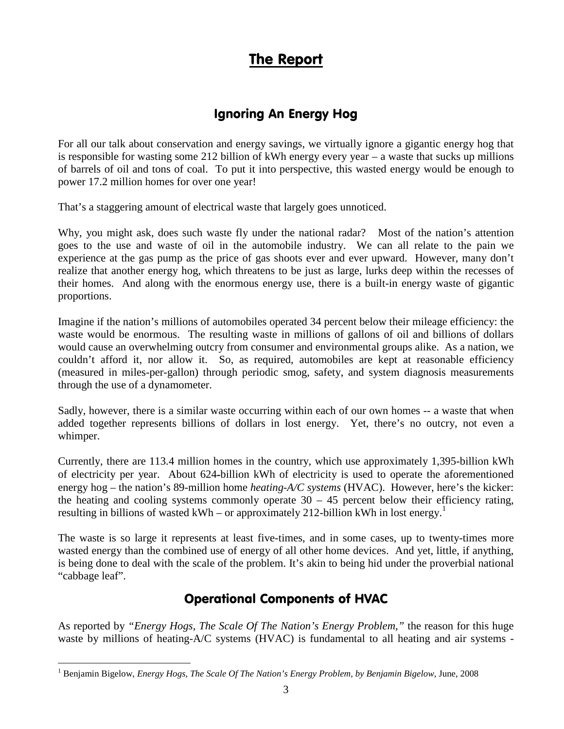# The Report

# Ignoring An Energy Hog

For all our talk about conservation and energy savings, we virtually ignore a gigantic energy hog that is responsible for wasting some 212 billion of kWh energy every year – a waste that sucks up millions of barrels of oil and tons of coal. To put it into perspective, this wasted energy would be enough to power 17.2 million homes for over one year!

That's a staggering amount of electrical waste that largely goes unnoticed.

Why, you might ask, does such waste fly under the national radar? Most of the nation's attention goes to the use and waste of oil in the automobile industry. We can all relate to the pain we experience at the gas pump as the price of gas shoots ever and ever upward. However, many don't realize that another energy hog, which threatens to be just as large, lurks deep within the recesses of their homes. And along with the enormous energy use, there is a built-in energy waste of gigantic proportions.

Imagine if the nation's millions of automobiles operated 34 percent below their mileage efficiency: the waste would be enormous. The resulting waste in millions of gallons of oil and billions of dollars would cause an overwhelming outcry from consumer and environmental groups alike. As a nation, we couldn't afford it, nor allow it. So, as required, automobiles are kept at reasonable efficiency (measured in miles-per-gallon) through periodic smog, safety, and system diagnosis measurements through the use of a dynamometer.

Sadly, however, there is a similar waste occurring within each of our own homes -- a waste that when added together represents billions of dollars in lost energy. Yet, there's no outcry, not even a whimper.

Currently, there are 113.4 million homes in the country, which use approximately 1,395-billion kWh of electricity per year. About 624**-**billion kWh of electricity is used to operate the aforementioned energy hog – the nation's 89-million home *heating-A/C systems* (HVAC). However, here's the kicker: the heating and cooling systems commonly operate  $30 - 45$  percent below their efficiency rating, resulting in billions of wasted kWh – or approximately 2[1](#page-2-0)2-billion kWh in lost energy.<sup>1</sup>

The waste is so large it represents at least five-times, and in some cases, up to twenty-times more wasted energy than the combined use of energy of all other home devices. And yet, little, if anything, is being done to deal with the scale of the problem. It's akin to being hid under the proverbial national "cabbage leaf".

# Operational Components of HVAC

As reported by *"Energy Hogs, The Scale Of The Nation's Energy Problem,"* the reason for this huge waste by millions of heating-A/C systems (HVAC) is fundamental to all heating and air systems -

<span id="page-2-0"></span><sup>1</sup> Benjamin Bigelow, *Energy Hogs, The Scale Of The Nation's Energy Problem, by Benjamin Bigelow,* June, 2008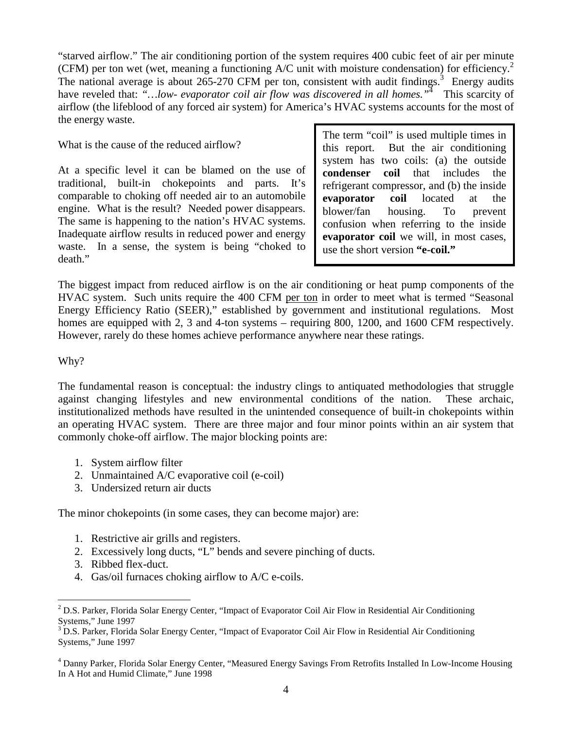"starved airflow." The air conditioning portion of the system requires 400 cubic feet of air per minute (CFM) per ton wet (wet, meaning a functioning  $A/C$  unit with moisture condensation) for efficiency.<sup>[2](#page-3-0)</sup> The national average is about  $265-270$  CFM per ton, consistent with audit findings.<sup>[3](#page-3-1)</sup> Energy audits have reveled that: "...low- *evaporator coil air flow was discovered in all homes.*"<sup>[4](#page-3-2)</sup> This scarcity of airflow (the lifeblood of any forced air system) for America's HVAC systems accounts for the most of the energy waste.

### What is the cause of the reduced airflow?

At a specific level it can be blamed on the use of  $\log_{10}$  condenser traditional, built-in chokepoints and parts. It's comparable to choking off needed air to an automobile engine. What is the result? Needed power disappears. The same is happening to the nation's HVAC systems. Inadequate airflow results in reduced power and energy waste. In a sense, the system is being "choked to death."

The term "coil" is used multiple times in this report. But the air conditioning system has two coils: (a) the outside **coil** that includes the refrigerant compressor, and (b) the inside **evaporator coil** located at the blower/fan housing. To prevent confusion when referring to the inside **evaporator coil** we will, in most cases, use the short version **"e-coil."**

The biggest impact from reduced airflow is on the air conditioning or heat pump components of the HVAC system. Such units require the 400 CFM per ton in order to meet what is termed "Seasonal Energy Efficiency Ratio (SEER)," established by government and institutional regulations. Most homes are equipped with 2, 3 and 4-ton systems – requiring 800, 1200, and 1600 CFM respectively. However, rarely do these homes achieve performance anywhere near these ratings.

### Why?

The fundamental reason is conceptual: the industry clings to antiquated methodologies that struggle against changing lifestyles and new environmental conditions of the nation. These archaic, institutionalized methods have resulted in the unintended consequence of built-in chokepoints within an operating HVAC system. There are three major and four minor points within an air system that commonly choke-off airflow. The major blocking points are:

- 1. System airflow filter
- 2. Unmaintained A/C evaporative coil (e-coil)
- 3. Undersized return air ducts

The minor chokepoints (in some cases, they can become major) are:

- 1. Restrictive air grills and registers.
- 2. Excessively long ducts, "L" bends and severe pinching of ducts.
- 3. Ribbed flex-duct.
- 4. Gas/oil furnaces choking airflow to A/C e-coils.

<span id="page-3-0"></span> $2$  D.S. Parker, Florida Solar Energy Center, "Impact of Evaporator Coil Air Flow in Residential Air Conditioning Systems," June 1997

<span id="page-3-1"></span><sup>&</sup>lt;sup>3</sup> D.S. Parker, Florida Solar Energy Center, "Impact of Evaporator Coil Air Flow in Residential Air Conditioning Systems," June 1997

<span id="page-3-2"></span><sup>&</sup>lt;sup>4</sup> Danny Parker, Florida Solar Energy Center, "Measured Energy Savings From Retrofits Installed In Low-Income Housing In A Hot and Humid Climate," June 1998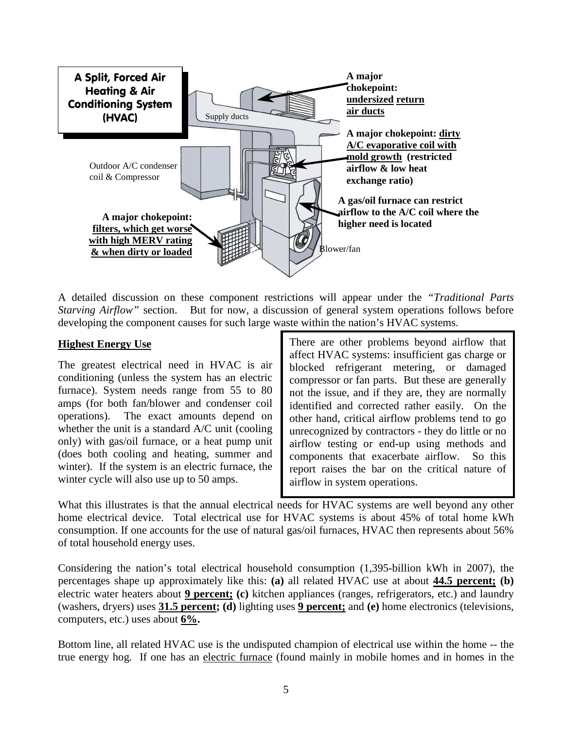

A detailed discussion on these component restrictions will appear under the *"Traditional Parts Starving Airflow"* section. But for now, a discussion of general system operations follows before developing the component causes for such large waste within the nation's HVAC systems.

## **Highest Energy Use**

The greatest electrical need in HVAC is air conditioning (unless the system has an electric furnace). System needs range from 55 to 80 amps (for both fan/blower and condenser coil operations). The exact amounts depend on whether the unit is a standard A/C unit (cooling only) with gas/oil furnace, or a heat pump unit (does both cooling and heating, summer and winter). If the system is an electric furnace, the winter cycle will also use up to 50 amps.

There are other problems beyond airflow that affect HVAC systems: insufficient gas charge or blocked refrigerant metering, or damaged compressor or fan parts. But these are generally not the issue, and if they are, they are normally identified and corrected rather easily. On the other hand, critical airflow problems tend to go unrecognized by contractors - they do little or no airflow testing or end-up using methods and components that exacerbate airflow. So this report raises the bar on the critical nature of airflow in system operations.

What this illustrates is that the annual electrical needs for HVAC systems are well beyond any other home electrical device. Total electrical use for HVAC systems is about 45% of total home kWh consumption. If one accounts for the use of natural gas/oil furnaces, HVAC then represents about 56% of total household energy uses.

Considering the nation's total electrical household consumption (1,395-billion kWh in 2007), the percentages shape up approximately like this: **(a)** all related HVAC use at about **44.5 percent; (b)** electric water heaters about **9 percent; (c)** kitchen appliances (ranges, refrigerators, etc.) and laundry (washers, dryers) uses **31.5 percent; (d)** lighting uses **9 percent;** and **(e)** home electronics (televisions, computers, etc.) uses about **6%.**

Bottom line, all related HVAC use is the undisputed champion of electrical use within the home -- the true energy hog. If one has an electric furnace (found mainly in mobile homes and in homes in the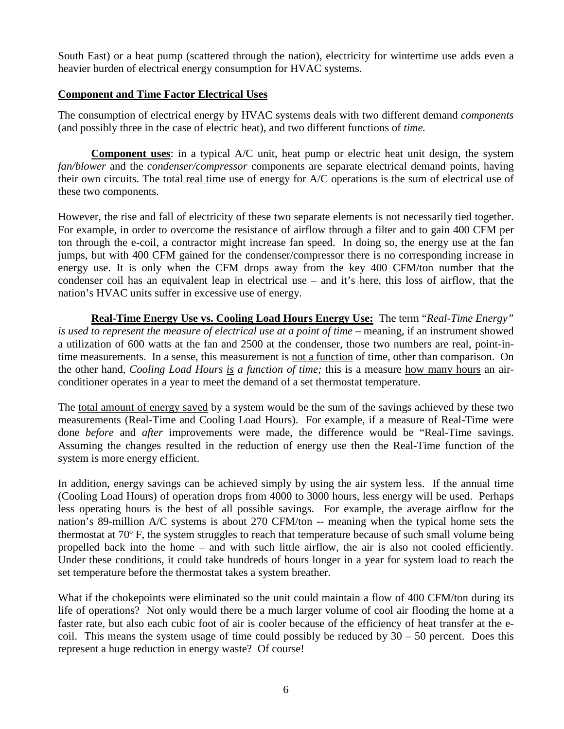South East) or a heat pump (scattered through the nation), electricity for wintertime use adds even a heavier burden of electrical energy consumption for HVAC systems.

## **Component and Time Factor Electrical Uses**

The consumption of electrical energy by HVAC systems deals with two different demand *components* (and possibly three in the case of electric heat), and two different functions of *time.*

**Component uses**: in a typical A/C unit, heat pump or electric heat unit design, the system *fan/blower* and the *condenser/compressor* components are separate electrical demand points, having their own circuits. The total real time use of energy for A/C operations is the sum of electrical use of these two components.

However, the rise and fall of electricity of these two separate elements is not necessarily tied together. For example, in order to overcome the resistance of airflow through a filter and to gain 400 CFM per ton through the e-coil, a contractor might increase fan speed. In doing so, the energy use at the fan jumps, but with 400 CFM gained for the condenser/compressor there is no corresponding increase in energy use. It is only when the CFM drops away from the key 400 CFM/ton number that the condenser coil has an equivalent leap in electrical use – and it's here, this loss of airflow, that the nation's HVAC units suffer in excessive use of energy.

**Real-Time Energy Use vs. Cooling Load Hours Energy Use:** The term "*Real-Time Energy" is used to represent the measure of electrical use at a point of time* – meaning, if an instrument showed a utilization of 600 watts at the fan and 2500 at the condenser, those two numbers are real, point-intime measurements. In a sense, this measurement is not a function of time, other than comparison. On the other hand, *Cooling Load Hours is a function of time;* this is a measure how many hours an airconditioner operates in a year to meet the demand of a set thermostat temperature.

The total amount of energy saved by a system would be the sum of the savings achieved by these two measurements (Real-Time and Cooling Load Hours). For example, if a measure of Real-Time were done *before* and *after* improvements were made, the difference would be "Real-Time savings. Assuming the changes resulted in the reduction of energy use then the Real-Time function of the system is more energy efficient.

In addition, energy savings can be achieved simply by using the air system less. If the annual time (Cooling Load Hours) of operation drops from 4000 to 3000 hours, less energy will be used. Perhaps less operating hours is the best of all possible savings. For example, the average airflow for the nation's 89-million A/C systems is about 270 CFM/ton -- meaning when the typical home sets the thermostat at 70º F, the system struggles to reach that temperature because of such small volume being propelled back into the home – and with such little airflow, the air is also not cooled efficiently. Under these conditions, it could take hundreds of hours longer in a year for system load to reach the set temperature before the thermostat takes a system breather.

What if the chokepoints were eliminated so the unit could maintain a flow of 400 CFM/ton during its life of operations? Not only would there be a much larger volume of cool air flooding the home at a faster rate, but also each cubic foot of air is cooler because of the efficiency of heat transfer at the ecoil. This means the system usage of time could possibly be reduced by  $30 - 50$  percent. Does this represent a huge reduction in energy waste? Of course!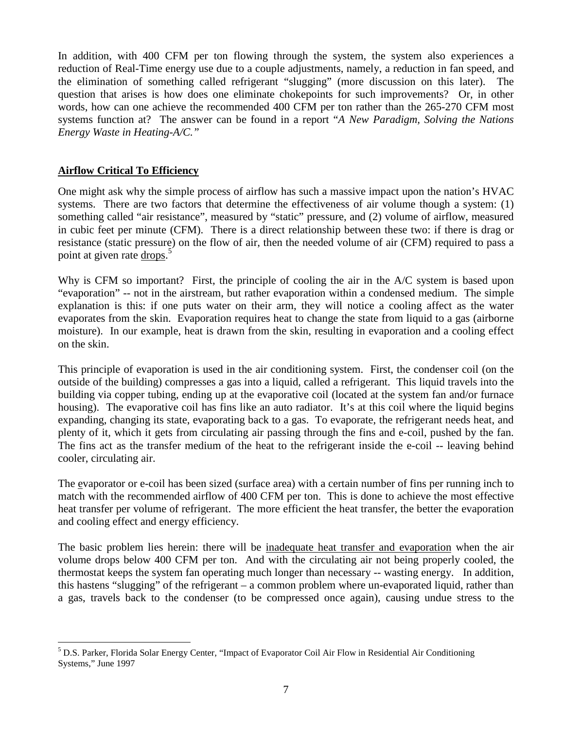In addition, with 400 CFM per ton flowing through the system, the system also experiences a reduction of Real-Time energy use due to a couple adjustments, namely, a reduction in fan speed, and the elimination of something called refrigerant "slugging" (more discussion on this later). The question that arises is how does one eliminate chokepoints for such improvements? Or, in other words, how can one achieve the recommended 400 CFM per ton rather than the 265-270 CFM most systems function at? The answer can be found in a report "*A New Paradigm, Solving the Nations Energy Waste in Heating-A/C."*

## **Airflow Critical To Efficiency**

One might ask why the simple process of airflow has such a massive impact upon the nation's HVAC systems. There are two factors that determine the effectiveness of air volume though a system: (1) something called "air resistance", measured by "static" pressure, and (2) volume of airflow, measured in cubic feet per minute (CFM). There is a direct relationship between these two: if there is drag or resistance (static pressure) on the flow of air, then the needed volume of air (CFM) required to pass a point at given rate drops.<sup>[5](#page-6-0)</sup>

Why is CFM so important? First, the principle of cooling the air in the A/C system is based upon "evaporation" -- not in the airstream, but rather evaporation within a condensed medium. The simple explanation is this: if one puts water on their arm, they will notice a cooling affect as the water evaporates from the skin. Evaporation requires heat to change the state from liquid to a gas (airborne moisture). In our example, heat is drawn from the skin, resulting in evaporation and a cooling effect on the skin.

This principle of evaporation is used in the air conditioning system. First, the condenser coil (on the outside of the building) compresses a gas into a liquid, called a refrigerant. This liquid travels into the building via copper tubing, ending up at the evaporative coil (located at the system fan and/or furnace housing). The evaporative coil has fins like an auto radiator. It's at this coil where the liquid begins expanding, changing its state, evaporating back to a gas. To evaporate, the refrigerant needs heat, and plenty of it, which it gets from circulating air passing through the fins and e-coil, pushed by the fan. The fins act as the transfer medium of the heat to the refrigerant inside the e-coil -- leaving behind cooler, circulating air.

The evaporator or e-coil has been sized (surface area) with a certain number of fins per running inch to match with the recommended airflow of 400 CFM per ton. This is done to achieve the most effective heat transfer per volume of refrigerant. The more efficient the heat transfer, the better the evaporation and cooling effect and energy efficiency.

The basic problem lies herein: there will be inadequate heat transfer and evaporation when the air volume drops below 400 CFM per ton. And with the circulating air not being properly cooled, the thermostat keeps the system fan operating much longer than necessary -- wasting energy. In addition, this hastens "slugging" of the refrigerant – a common problem where un-evaporated liquid, rather than a gas, travels back to the condenser (to be compressed once again), causing undue stress to the

<span id="page-6-0"></span><sup>&</sup>lt;sup>5</sup> D.S. Parker, Florida Solar Energy Center, "Impact of Evaporator Coil Air Flow in Residential Air Conditioning Systems," June 1997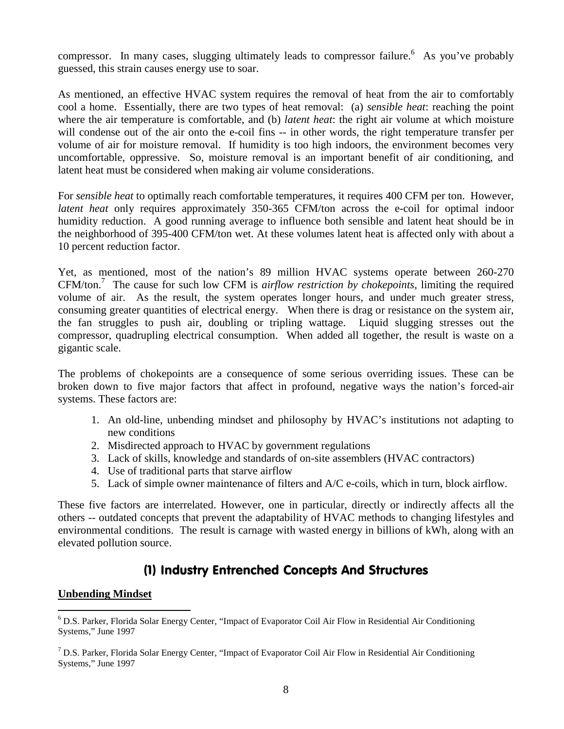compressor. In many cases, slugging ultimately leads to compressor failure.<sup>[6](#page-7-0)</sup> As you've probably guessed, this strain causes energy use to soar.

As mentioned, an effective HVAC system requires the removal of heat from the air to comfortably cool a home. Essentially, there are two types of heat removal: (a) *sensible heat*: reaching the point where the air temperature is comfortable, and (b) *latent heat*: the right air volume at which moisture will condense out of the air onto the e-coil fins -- in other words, the right temperature transfer per volume of air for moisture removal. If humidity is too high indoors, the environment becomes very uncomfortable, oppressive. So, moisture removal is an important benefit of air conditioning, and latent heat must be considered when making air volume considerations.

For *sensible heat* to optimally reach comfortable temperatures, it requires 400 CFM per ton. However, *latent heat* only requires approximately 350-365 CFM/ton across the e-coil for optimal indoor humidity reduction. A good running average to influence both sensible and latent heat should be in the neighborhood of 395-400 CFM/ton wet. At these volumes latent heat is affected only with about a 10 percent reduction factor.

Yet, as mentioned, most of the nation's 89 million HVAC systems operate between 260-270 CFM/ton.[7](#page-7-1) The cause for such low CFM is *airflow restriction by chokepoints*, limiting the required volume of air. As the result, the system operates longer hours, and under much greater stress, consuming greater quantities of electrical energy. When there is drag or resistance on the system air, the fan struggles to push air, doubling or tripling wattage. Liquid slugging stresses out the compressor, quadrupling electrical consumption. When added all together, the result is waste on a gigantic scale.

The problems of chokepoints are a consequence of some serious overriding issues. These can be broken down to five major factors that affect in profound, negative ways the nation's forced-air systems. These factors are:

- 1. An old-line, unbending mindset and philosophy by HVAC's institutions not adapting to new conditions
- 2. Misdirected approach to HVAC by government regulations
- 3. Lack of skills, knowledge and standards of on-site assemblers (HVAC contractors)
- 4. Use of traditional parts that starve airflow
- 5. Lack of simple owner maintenance of filters and A/C e-coils, which in turn, block airflow.

These five factors are interrelated. However, one in particular, directly or indirectly affects all the others -- outdated concepts that prevent the adaptability of HVAC methods to changing lifestyles and environmental conditions. The result is carnage with wasted energy in billions of kWh, along with an elevated pollution source.

# (1) Industry Entrenched Concepts And Structures

#### **Unbending Mindset**

<span id="page-7-0"></span><sup>&</sup>lt;sup>6</sup> D.S. Parker, Florida Solar Energy Center, "Impact of Evaporator Coil Air Flow in Residential Air Conditioning Systems," June 1997

<span id="page-7-1"></span> $7$  D.S. Parker, Florida Solar Energy Center, "Impact of Evaporator Coil Air Flow in Residential Air Conditioning Systems," June 1997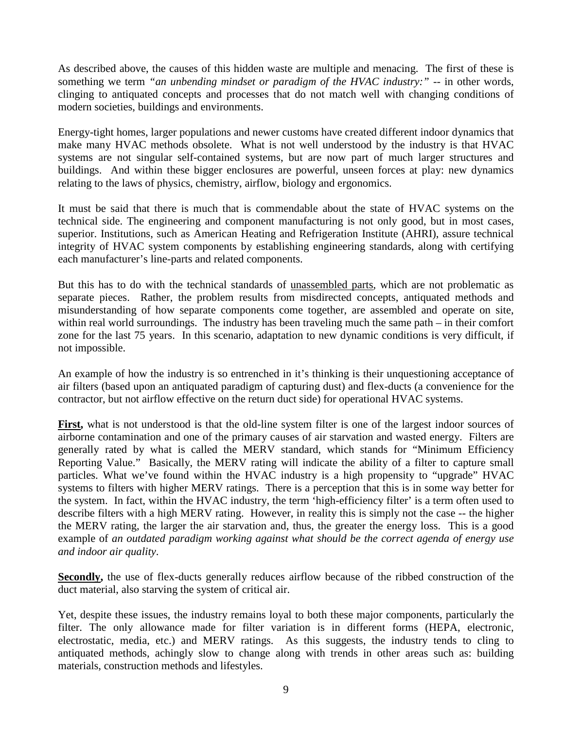As described above, the causes of this hidden waste are multiple and menacing. The first of these is something we term *"an unbending mindset or paradigm of the HVAC industry:"* -- in other words, clinging to antiquated concepts and processes that do not match well with changing conditions of modern societies, buildings and environments.

Energy-tight homes, larger populations and newer customs have created different indoor dynamics that make many HVAC methods obsolete. What is not well understood by the industry is that HVAC systems are not singular self-contained systems, but are now part of much larger structures and buildings. And within these bigger enclosures are powerful, unseen forces at play: new dynamics relating to the laws of physics, chemistry, airflow, biology and ergonomics.

It must be said that there is much that is commendable about the state of HVAC systems on the technical side. The engineering and component manufacturing is not only good, but in most cases, superior. Institutions, such as American Heating and Refrigeration Institute (AHRI), assure technical integrity of HVAC system components by establishing engineering standards, along with certifying each manufacturer's line-parts and related components.

But this has to do with the technical standards of unassembled parts, which are not problematic as separate pieces. Rather, the problem results from misdirected concepts, antiquated methods and misunderstanding of how separate components come together, are assembled and operate on site, within real world surroundings. The industry has been traveling much the same path – in their comfort zone for the last 75 years. In this scenario, adaptation to new dynamic conditions is very difficult, if not impossible.

An example of how the industry is so entrenched in it's thinking is their unquestioning acceptance of air filters (based upon an antiquated paradigm of capturing dust) and flex-ducts (a convenience for the contractor, but not airflow effective on the return duct side) for operational HVAC systems.

**First,** what is not understood is that the old-line system filter is one of the largest indoor sources of airborne contamination and one of the primary causes of air starvation and wasted energy. Filters are generally rated by what is called the MERV standard, which stands for "Minimum Efficiency Reporting Value." Basically, the MERV rating will indicate the ability of a filter to capture small particles. What we've found within the HVAC industry is a high propensity to "upgrade" HVAC systems to filters with higher MERV ratings. There is a perception that this is in some way better for the system. In fact, within the HVAC industry, the term 'high-efficiency filter' is a term often used to describe filters with a high MERV rating. However, in reality this is simply not the case -- the higher the MERV rating, the larger the air starvation and, thus, the greater the energy loss. This is a good example of *an outdated paradigm working against what should be the correct agenda of energy use and indoor air quality*.

**Secondly**, the use of flex-ducts generally reduces airflow because of the ribbed construction of the duct material, also starving the system of critical air.

Yet, despite these issues, the industry remains loyal to both these major components, particularly the filter. The only allowance made for filter variation is in different forms (HEPA, electronic, electrostatic, media, etc.) and MERV ratings. As this suggests, the industry tends to cling to antiquated methods, achingly slow to change along with trends in other areas such as: building materials, construction methods and lifestyles.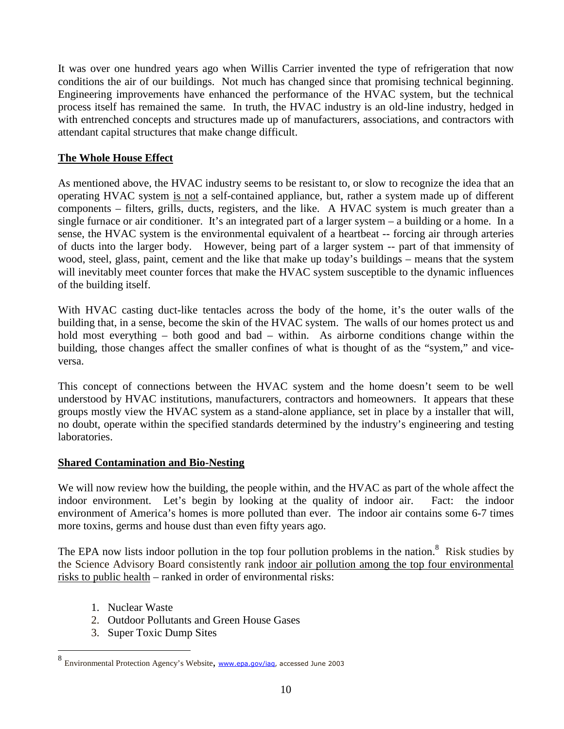It was over one hundred years ago when Willis Carrier invented the type of refrigeration that now conditions the air of our buildings. Not much has changed since that promising technical beginning. Engineering improvements have enhanced the performance of the HVAC system, but the technical process itself has remained the same. In truth, the HVAC industry is an old-line industry, hedged in with entrenched concepts and structures made up of manufacturers, associations, and contractors with attendant capital structures that make change difficult.

### **The Whole House Effect**

As mentioned above, the HVAC industry seems to be resistant to, or slow to recognize the idea that an operating HVAC system is not a self-contained appliance, but, rather a system made up of different components – filters, grills, ducts, registers, and the like. A HVAC system is much greater than a single furnace or air conditioner. It's an integrated part of a larger system – a building or a home. In a sense, the HVAC system is the environmental equivalent of a heartbeat -- forcing air through arteries of ducts into the larger body. However, being part of a larger system -- part of that immensity of wood, steel, glass, paint, cement and the like that make up today's buildings – means that the system will inevitably meet counter forces that make the HVAC system susceptible to the dynamic influences of the building itself.

With HVAC casting duct-like tentacles across the body of the home, it's the outer walls of the building that, in a sense, become the skin of the HVAC system. The walls of our homes protect us and hold most everything – both good and bad – within. As airborne conditions change within the building, those changes affect the smaller confines of what is thought of as the "system," and viceversa.

This concept of connections between the HVAC system and the home doesn't seem to be well understood by HVAC institutions, manufacturers, contractors and homeowners. It appears that these groups mostly view the HVAC system as a stand-alone appliance, set in place by a installer that will, no doubt, operate within the specified standards determined by the industry's engineering and testing laboratories.

#### **Shared Contamination and Bio-Nesting**

We will now review how the building, the people within, and the HVAC as part of the whole affect the indoor environment. Let's begin by looking at the quality of indoor air. Fact: the indoor environment of America's homes is more polluted than ever. The indoor air contains some 6-7 times more toxins, germs and house dust than even fifty years ago.

The EPA now lists indoor pollution in the top four pollution problems in the nation.<sup>[8](#page-9-0)</sup> Risk studies by the Science Advisory Board consistently rank indoor air pollution among the top four environmental risks to public health – ranked in order of environmental risks:

- 1. Nuclear Waste
- 2. Outdoor Pollutants and Green House Gases
- 3. Super Toxic Dump Sites

<span id="page-9-0"></span><sup>8</sup> Environmental Protection Agency's Website, www.epa.gov/iaq, accessed June 2003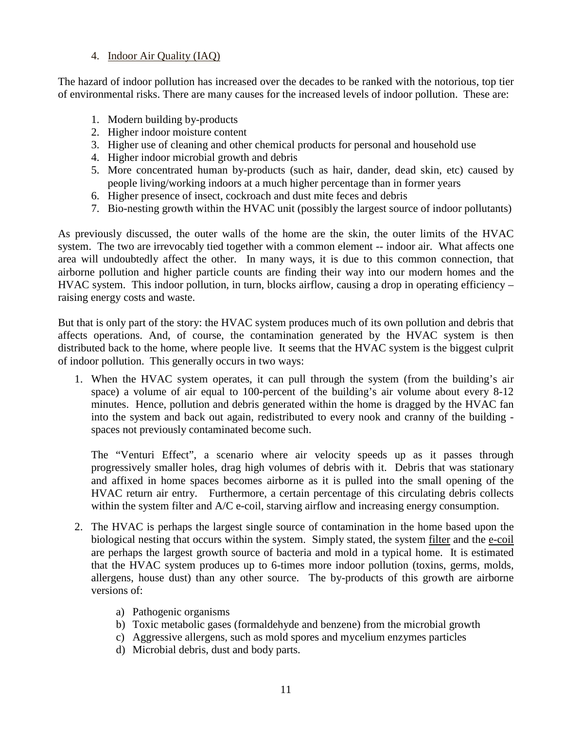## 4. Indoor Air Quality (IAQ)

The hazard of indoor pollution has increased over the decades to be ranked with the notorious, top tier of environmental risks. There are many causes for the increased levels of indoor pollution. These are:

- 1. Modern building by-products
- 2. Higher indoor moisture content
- 3. Higher use of cleaning and other chemical products for personal and household use
- 4. Higher indoor microbial growth and debris
- 5. More concentrated human by-products (such as hair, dander, dead skin, etc) caused by people living/working indoors at a much higher percentage than in former years
- 6. Higher presence of insect, cockroach and dust mite feces and debris
- 7. Bio-nesting growth within the HVAC unit (possibly the largest source of indoor pollutants)

As previously discussed, the outer walls of the home are the skin, the outer limits of the HVAC system. The two are irrevocably tied together with a common element -- indoor air. What affects one area will undoubtedly affect the other. In many ways, it is due to this common connection, that airborne pollution and higher particle counts are finding their way into our modern homes and the HVAC system. This indoor pollution, in turn, blocks airflow, causing a drop in operating efficiency – raising energy costs and waste.

But that is only part of the story: the HVAC system produces much of its own pollution and debris that affects operations. And, of course, the contamination generated by the HVAC system is then distributed back to the home, where people live. It seems that the HVAC system is the biggest culprit of indoor pollution. This generally occurs in two ways:

1. When the HVAC system operates, it can pull through the system (from the building's air space) a volume of air equal to 100-percent of the building's air volume about every 8-12 minutes. Hence, pollution and debris generated within the home is dragged by the HVAC fan into the system and back out again, redistributed to every nook and cranny of the building spaces not previously contaminated become such.

The "Venturi Effect", a scenario where air velocity speeds up as it passes through progressively smaller holes, drag high volumes of debris with it. Debris that was stationary and affixed in home spaces becomes airborne as it is pulled into the small opening of the HVAC return air entry. Furthermore, a certain percentage of this circulating debris collects within the system filter and A/C e-coil, starving airflow and increasing energy consumption.

- 2. The HVAC is perhaps the largest single source of contamination in the home based upon the biological nesting that occurs within the system. Simply stated, the system filter and the e-coil are perhaps the largest growth source of bacteria and mold in a typical home. It is estimated that the HVAC system produces up to 6-times more indoor pollution (toxins, germs, molds, allergens, house dust) than any other source. The by-products of this growth are airborne versions of:
	- a) Pathogenic organisms
	- b) Toxic metabolic gases (formaldehyde and benzene) from the microbial growth
	- c) Aggressive allergens, such as mold spores and mycelium enzymes particles
	- d) Microbial debris, dust and body parts.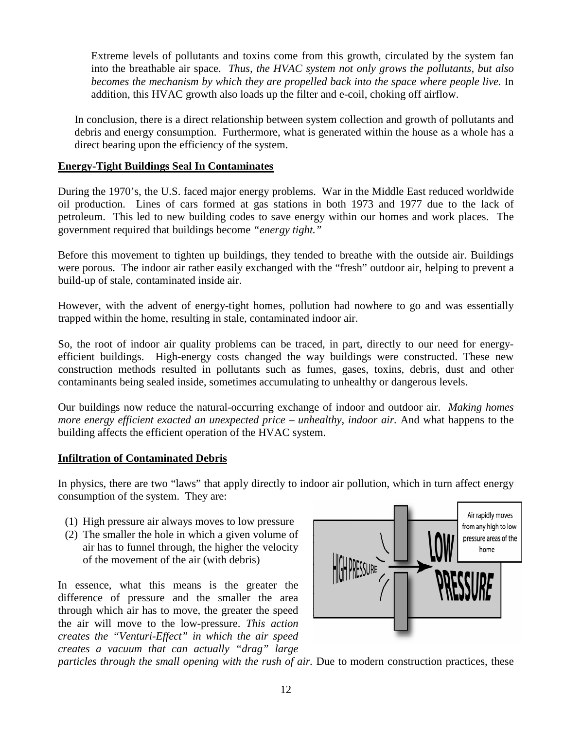Extreme levels of pollutants and toxins come from this growth, circulated by the system fan into the breathable air space. *Thus, the HVAC system not only grows the pollutants, but also becomes the mechanism by which they are propelled back into the space where people live.* In addition, this HVAC growth also loads up the filter and e-coil, choking off airflow.

In conclusion, there is a direct relationship between system collection and growth of pollutants and debris and energy consumption. Furthermore, what is generated within the house as a whole has a direct bearing upon the efficiency of the system.

## **Energy-Tight Buildings Seal In Contaminates**

During the 1970's, the U.S. faced major energy problems. War in the Middle East reduced worldwide oil production. Lines of cars formed at gas stations in both 1973 and 1977 due to the lack of petroleum. This led to new building codes to save energy within our homes and work places. The government required that buildings become *"energy tight."*

Before this movement to tighten up buildings, they tended to breathe with the outside air. Buildings were porous. The indoor air rather easily exchanged with the "fresh" outdoor air, helping to prevent a build-up of stale, contaminated inside air.

However, with the advent of energy-tight homes, pollution had nowhere to go and was essentially trapped within the home, resulting in stale, contaminated indoor air.

So, the root of indoor air quality problems can be traced, in part, directly to our need for energyefficient buildings. High-energy costs changed the way buildings were constructed. These new construction methods resulted in pollutants such as fumes, gases, toxins, debris, dust and other contaminants being sealed inside, sometimes accumulating to unhealthy or dangerous levels.

Our buildings now reduce the natural-occurring exchange of indoor and outdoor air. *Making homes more energy efficient exacted an unexpected price – unhealthy, indoor air.* And what happens to the building affects the efficient operation of the HVAC system.

#### **Infiltration of Contaminated Debris**

In physics, there are two "laws" that apply directly to indoor air pollution, which in turn affect energy consumption of the system. They are:

- (1) High pressure air always moves to low pressure
- (2) The smaller the hole in which a given volume of air has to funnel through, the higher the velocity of the movement of the air (with debris)

In essence, what this means is the greater the difference of pressure and the smaller the area through which air has to move, the greater the speed the air will move to the low-pressure. *This action creates the "Venturi-Effect" in which the air speed creates a vacuum that can actually "drag" large*



*particles through the small opening with the rush of air.* Due to modern construction practices, these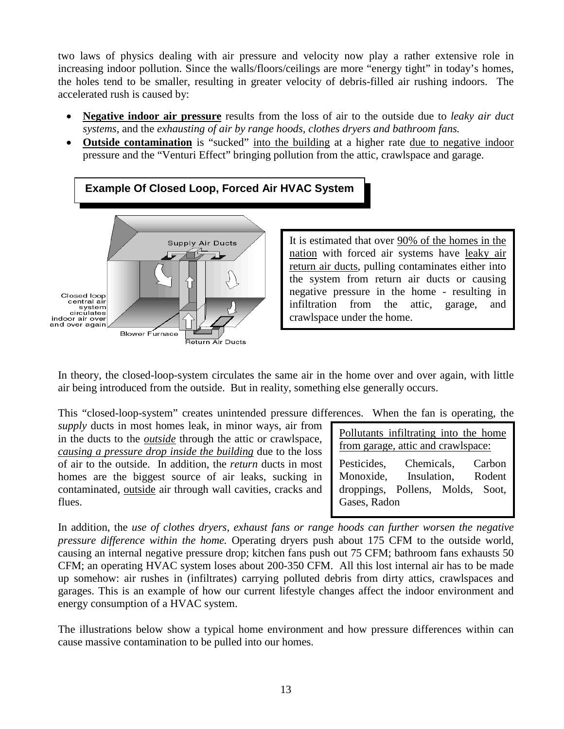two laws of physics dealing with air pressure and velocity now play a rather extensive role in increasing indoor pollution. Since the walls/floors/ceilings are more "energy tight" in today's homes, the holes tend to be smaller, resulting in greater velocity of debris-filled air rushing indoors. The accelerated rush is caused by:

- **Negative indoor air pressure** results from the loss of air to the outside due to *leaky air duct systems*, and the *exhausting of air by range hoods, clothes dryers and bathroom fans.*
- **Outside contamination** is "sucked" into the building at a higher rate due to negative indoor pressure and the "Venturi Effect" bringing pollution from the attic, crawlspace and garage.



It is estimated that over 90% of the homes in the nation with forced air systems have leaky air return air ducts, pulling contaminates either into the system from return air ducts or causing negative pressure in the home - resulting in infiltration from the attic, garage, and crawlspace under the home.

In theory, the closed-loop-system circulates the same air in the home over and over again, with little air being introduced from the outside. But in reality, something else generally occurs.

This "closed-loop-system" creates unintended pressure differences. When the fan is operating, the

*supply* ducts in most homes leak, in minor ways, air from in the ducts to the *outside* through the attic or crawlspace, *causing a pressure drop inside the building* due to the loss of air to the outside. In addition, the *return* ducts in most homes are the biggest source of air leaks, sucking in contaminated, outside air through wall cavities, cracks and flues.

Pollutants infiltrating into the home from garage, attic and crawlspace:

Pesticides, Chemicals, Carbon Monoxide, Insulation, Rodent droppings, Pollens, Molds, Soot, Gases, Radon

In addition, the *use of clothes dryers, exhaust fans or range hoods can further worsen the negative pressure difference within the home.* Operating dryers push about 175 CFM to the outside world, causing an internal negative pressure drop; kitchen fans push out 75 CFM; bathroom fans exhausts 50 CFM; an operating HVAC system loses about 200-350 CFM. All this lost internal air has to be made up somehow: air rushes in (infiltrates) carrying polluted debris from dirty attics, crawlspaces and garages. This is an example of how our current lifestyle changes affect the indoor environment and energy consumption of a HVAC system.

The illustrations below show a typical home environment and how pressure differences within can cause massive contamination to be pulled into our homes.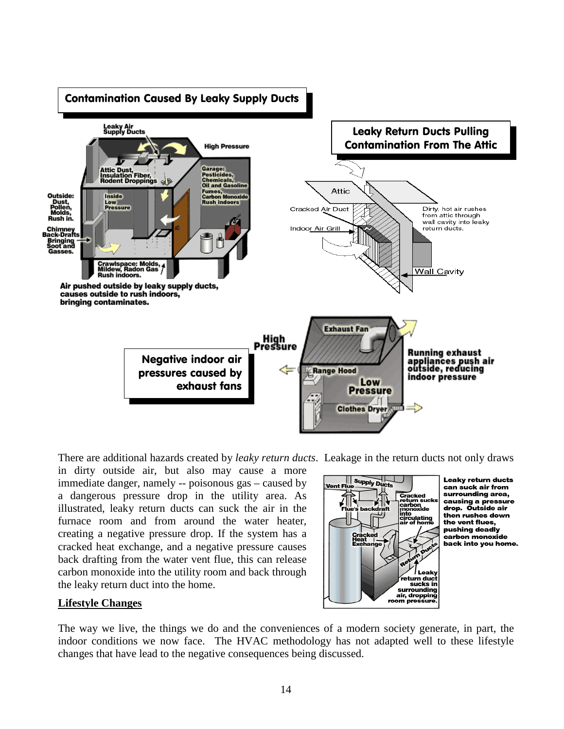

There are additional hazards created by *leaky return ducts*. Leakage in the return ducts not only draws

in dirty outside air, but also may cause a more immediate danger, namely -- poisonous gas – caused by a dangerous pressure drop in the utility area. As illustrated, leaky return ducts can suck the air in the furnace room and from around the water heater, creating a negative pressure drop. If the system has a cracked heat exchange, and a negative pressure causes back drafting from the water vent flue, this can release carbon monoxide into the utility room and back through the leaky return duct into the home.



Leaky return ducts can suck air from surrounding area, carrounumy ureu,<br>causing a pressure<br>drop. Outside air then rushes down the vent flues, pushing deadly carbon monoxide back into you home.

#### **Lifestyle Changes**

The way we live, the things we do and the conveniences of a modern society generate, in part, the indoor conditions we now face. The HVAC methodology has not adapted well to these lifestyle changes that have lead to the negative consequences being discussed.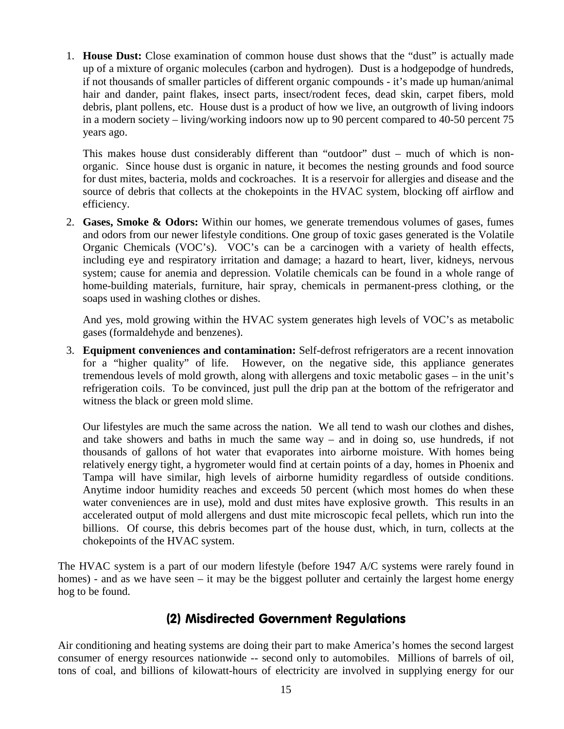1. **House Dust:** Close examination of common house dust shows that the "dust" is actually made up of a mixture of organic molecules (carbon and hydrogen). Dust is a hodgepodge of hundreds, if not thousands of smaller particles of different organic compounds - it's made up human/animal hair and dander, paint flakes, insect parts, insect/rodent feces, dead skin, carpet fibers, mold debris, plant pollens, etc. House dust is a product of how we live, an outgrowth of living indoors in a modern society – living/working indoors now up to 90 percent compared to 40-50 percent 75 years ago.

This makes house dust considerably different than "outdoor" dust – much of which is nonorganic. Since house dust is organic in nature, it becomes the nesting grounds and food source for dust mites, bacteria, molds and cockroaches. It is a reservoir for allergies and disease and the source of debris that collects at the chokepoints in the HVAC system, blocking off airflow and efficiency.

2. **Gases, Smoke & Odors:** Within our homes, we generate tremendous volumes of gases, fumes and odors from our newer lifestyle conditions. One group of toxic gases generated is the Volatile Organic Chemicals (VOC's). VOC's can be a carcinogen with a variety of health effects, including eye and respiratory irritation and damage; a hazard to heart, liver, kidneys, nervous system; cause for anemia and depression. Volatile chemicals can be found in a whole range of home-building materials, furniture, hair spray, chemicals in permanent-press clothing, or the soaps used in washing clothes or dishes.

And yes, mold growing within the HVAC system generates high levels of VOC's as metabolic gases (formaldehyde and benzenes).

3. **Equipment conveniences and contamination:** Self-defrost refrigerators are a recent innovation for a "higher quality" of life. However, on the negative side, this appliance generates tremendous levels of mold growth, along with allergens and toxic metabolic gases – in the unit's refrigeration coils. To be convinced, just pull the drip pan at the bottom of the refrigerator and witness the black or green mold slime.

Our lifestyles are much the same across the nation. We all tend to wash our clothes and dishes, and take showers and baths in much the same way – and in doing so, use hundreds, if not thousands of gallons of hot water that evaporates into airborne moisture. With homes being relatively energy tight, a hygrometer would find at certain points of a day, homes in Phoenix and Tampa will have similar, high levels of airborne humidity regardless of outside conditions. Anytime indoor humidity reaches and exceeds 50 percent (which most homes do when these water conveniences are in use), mold and dust mites have explosive growth. This results in an accelerated output of mold allergens and dust mite microscopic fecal pellets, which run into the billions. Of course, this debris becomes part of the house dust, which, in turn, collects at the chokepoints of the HVAC system.

The HVAC system is a part of our modern lifestyle (before 1947 A/C systems were rarely found in homes) - and as we have seen – it may be the biggest polluter and certainly the largest home energy hog to be found.

# (2) Misdirected Government Regulations

Air conditioning and heating systems are doing their part to make America's homes the second largest consumer of energy resources nationwide -- second only to automobiles. Millions of barrels of oil, tons of coal, and billions of kilowatt-hours of electricity are involved in supplying energy for our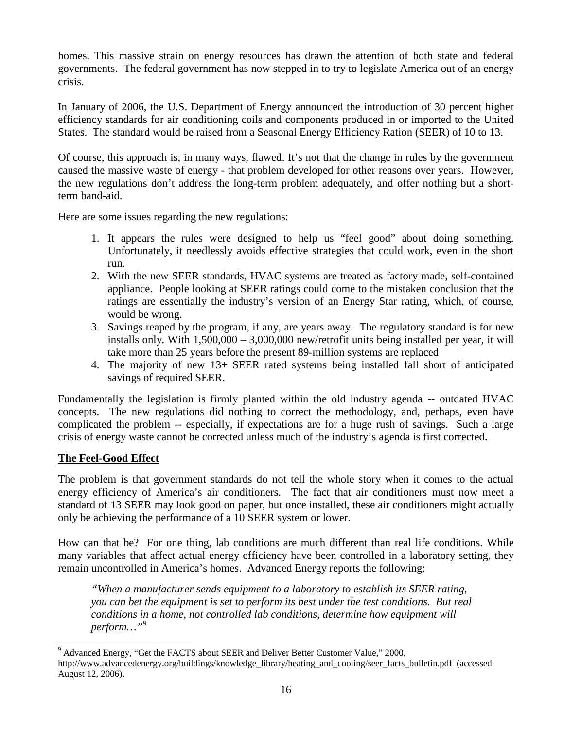homes. This massive strain on energy resources has drawn the attention of both state and federal governments. The federal government has now stepped in to try to legislate America out of an energy crisis.

In January of 2006, the U.S. Department of Energy announced the introduction of 30 percent higher efficiency standards for air conditioning coils and components produced in or imported to the United States. The standard would be raised from a Seasonal Energy Efficiency Ration (SEER) of 10 to 13.

Of course, this approach is, in many ways, flawed. It's not that the change in rules by the government caused the massive waste of energy - that problem developed for other reasons over years. However, the new regulations don't address the long-term problem adequately, and offer nothing but a shortterm band-aid.

Here are some issues regarding the new regulations:

- 1. It appears the rules were designed to help us "feel good" about doing something. Unfortunately, it needlessly avoids effective strategies that could work, even in the short run.
- 2. With the new SEER standards, HVAC systems are treated as factory made, self-contained appliance. People looking at SEER ratings could come to the mistaken conclusion that the ratings are essentially the industry's version of an Energy Star rating, which, of course, would be wrong.
- 3. Savings reaped by the program, if any, are years away. The regulatory standard is for new installs only. With 1,500,000 – 3,000,000 new/retrofit units being installed per year, it will take more than 25 years before the present 89-million systems are replaced
- 4. The majority of new 13+ SEER rated systems being installed fall short of anticipated savings of required SEER.

Fundamentally the legislation is firmly planted within the old industry agenda -- outdated HVAC concepts. The new regulations did nothing to correct the methodology, and, perhaps, even have complicated the problem -- especially, if expectations are for a huge rush of savings. Such a large crisis of energy waste cannot be corrected unless much of the industry's agenda is first corrected.

## **The Feel-Good Effect**

The problem is that government standards do not tell the whole story when it comes to the actual energy efficiency of America's air conditioners. The fact that air conditioners must now meet a standard of 13 SEER may look good on paper, but once installed, these air conditioners might actually only be achieving the performance of a 10 SEER system or lower.

How can that be? For one thing, lab conditions are much different than real life conditions. While many variables that affect actual energy efficiency have been controlled in a laboratory setting, they remain uncontrolled in America's homes. Advanced Energy reports the following:

*"When a manufacturer sends equipment to a laboratory to establish its SEER rating, you can bet the equipment is set to perform its best under the test conditions. But real conditions in a home, not controlled lab conditions, determine how equipment will perform…"[9](#page-15-0)*

<span id="page-15-0"></span><sup>&</sup>lt;sup>9</sup> Advanced Energy, "Get the FACTS about SEER and Deliver Better Customer Value," 2000, http://www.advancedenergy.org/buildings/knowledge\_library/heating\_and\_cooling/seer\_facts\_bulletin.pdf (accessed August 12, 2006).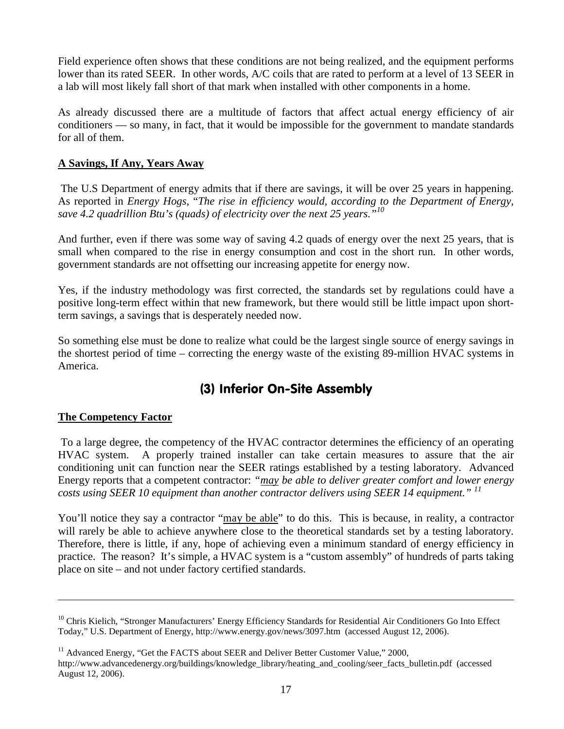Field experience often shows that these conditions are not being realized, and the equipment performs lower than its rated SEER. In other words, A/C coils that are rated to perform at a level of 13 SEER in a lab will most likely fall short of that mark when installed with other components in a home.

As already discussed there are a multitude of factors that affect actual energy efficiency of air conditioners — so many, in fact, that it would be impossible for the government to mandate standards for all of them.

## **A Savings, If Any, Years Away**

The U.S Department of energy admits that if there are savings, it will be over 25 years in happening. As reported in *Energy Hogs*, "*The rise in efficiency would, according to the Department of Energy, save 4.2 quadrillion Btu's (quads) of electricity over the next 25 years."[10](#page-16-0)*

And further, even if there was some way of saving 4.2 quads of energy over the next 25 years, that is small when compared to the rise in energy consumption and cost in the short run. In other words, government standards are not offsetting our increasing appetite for energy now.

Yes, if the industry methodology was first corrected, the standards set by regulations could have a positive long-term effect within that new framework, but there would still be little impact upon shortterm savings, a savings that is desperately needed now.

So something else must be done to realize what could be the largest single source of energy savings in the shortest period of time – correcting the energy waste of the existing 89-million HVAC systems in America.

# (3) Inferior On-Site Assembly

#### **The Competency Factor**

To a large degree, the competency of the HVAC contractor determines the efficiency of an operating HVAC system. A properly trained installer can take certain measures to assure that the air conditioning unit can function near the SEER ratings established by a testing laboratory. Advanced Energy reports that a competent contractor: *"may be able to deliver greater comfort and lower energy costs using SEER 10 equipment than another contractor delivers using SEER 14 equipment." [11](#page-16-1)*

You'll notice they say a contractor "may be able" to do this. This is because, in reality, a contractor will rarely be able to achieve anywhere close to the theoretical standards set by a testing laboratory. Therefore, there is little, if any, hope of achieving even a minimum standard of energy efficiency in practice. The reason? It's simple, a HVAC system is a "custom assembly" of hundreds of parts taking place on site – and not under factory certified standards.

<span id="page-16-1"></span> $11$  Advanced Energy, "Get the FACTS about SEER and Deliver Better Customer Value," 2000, http://www.advancedenergy.org/buildings/knowledge\_library/heating\_and\_cooling/seer\_facts\_bulletin.pdf (accessed August 12, 2006).

<span id="page-16-0"></span> $10$  Chris Kielich, "Stronger Manufacturers' Energy Efficiency Standards for Residential Air Conditioners Go Into Effect Today," U.S. Department of Energy, http://www.energy.gov/news/3097.htm (accessed August 12, 2006).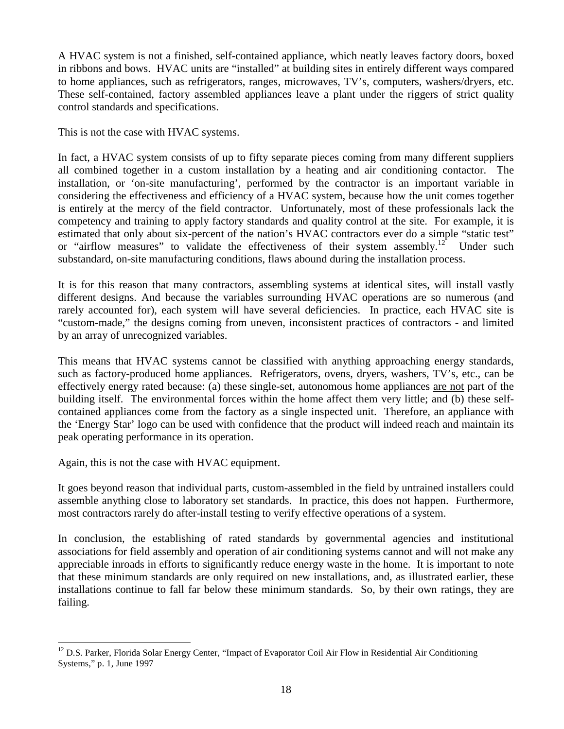A HVAC system is not a finished, self-contained appliance, which neatly leaves factory doors, boxed in ribbons and bows. HVAC units are "installed" at building sites in entirely different ways compared to home appliances, such as refrigerators, ranges, microwaves, TV's, computers, washers/dryers, etc. These self-contained, factory assembled appliances leave a plant under the riggers of strict quality control standards and specifications.

This is not the case with HVAC systems.

In fact, a HVAC system consists of up to fifty separate pieces coming from many different suppliers all combined together in a custom installation by a heating and air conditioning contactor. The installation, or 'on-site manufacturing', performed by the contractor is an important variable in considering the effectiveness and efficiency of a HVAC system, because how the unit comes together is entirely at the mercy of the field contractor. Unfortunately, most of these professionals lack the competency and training to apply factory standards and quality control at the site. For example, it is estimated that only about six-percent of the nation's HVAC contractors ever do a simple "static test" or "airflow measures" to validate the effectiveness of their system assembly.<sup>[12](#page-17-0)</sup> Under such substandard, on-site manufacturing conditions, flaws abound during the installation process.

It is for this reason that many contractors, assembling systems at identical sites, will install vastly different designs. And because the variables surrounding HVAC operations are so numerous (and rarely accounted for), each system will have several deficiencies. In practice, each HVAC site is "custom-made," the designs coming from uneven, inconsistent practices of contractors - and limited by an array of unrecognized variables.

This means that HVAC systems cannot be classified with anything approaching energy standards, such as factory-produced home appliances. Refrigerators, ovens, dryers, washers, TV's, etc., can be effectively energy rated because: (a) these single-set, autonomous home appliances are not part of the building itself. The environmental forces within the home affect them very little; and (b) these selfcontained appliances come from the factory as a single inspected unit. Therefore, an appliance with the 'Energy Star' logo can be used with confidence that the product will indeed reach and maintain its peak operating performance in its operation.

Again, this is not the case with HVAC equipment.

It goes beyond reason that individual parts, custom-assembled in the field by untrained installers could assemble anything close to laboratory set standards. In practice, this does not happen. Furthermore, most contractors rarely do after-install testing to verify effective operations of a system.

In conclusion, the establishing of rated standards by governmental agencies and institutional associations for field assembly and operation of air conditioning systems cannot and will not make any appreciable inroads in efforts to significantly reduce energy waste in the home. It is important to note that these minimum standards are only required on new installations, and, as illustrated earlier, these installations continue to fall far below these minimum standards. So, by their own ratings, they are failing.

<span id="page-17-0"></span><sup>&</sup>lt;sup>12</sup> D.S. Parker, Florida Solar Energy Center, "Impact of Evaporator Coil Air Flow in Residential Air Conditioning Systems," p. 1, June 1997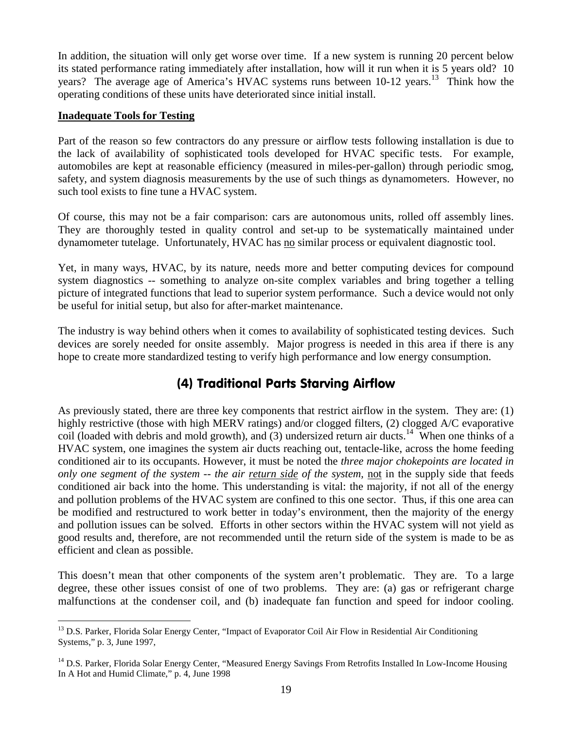In addition, the situation will only get worse over time. If a new system is running 20 percent below its stated performance rating immediately after installation, how will it run when it is 5 years old? 10 years? The average age of America's HVAC systems runs between  $10-12$  years.<sup>[13](#page-18-0)</sup> Think how the operating conditions of these units have deteriorated since initial install.

#### **Inadequate Tools for Testing**

Part of the reason so few contractors do any pressure or airflow tests following installation is due to the lack of availability of sophisticated tools developed for HVAC specific tests. For example, automobiles are kept at reasonable efficiency (measured in miles-per-gallon) through periodic smog, safety, and system diagnosis measurements by the use of such things as dynamometers. However, no such tool exists to fine tune a HVAC system.

Of course, this may not be a fair comparison: cars are autonomous units, rolled off assembly lines. They are thoroughly tested in quality control and set-up to be systematically maintained under dynamometer tutelage. Unfortunately, HVAC has no similar process or equivalent diagnostic tool.

Yet, in many ways, HVAC, by its nature, needs more and better computing devices for compound system diagnostics -- something to analyze on-site complex variables and bring together a telling picture of integrated functions that lead to superior system performance. Such a device would not only be useful for initial setup, but also for after-market maintenance.

The industry is way behind others when it comes to availability of sophisticated testing devices. Such devices are sorely needed for onsite assembly. Major progress is needed in this area if there is any hope to create more standardized testing to verify high performance and low energy consumption.

# (4) Traditional Parts Starving Airflow

As previously stated, there are three key components that restrict airflow in the system. They are: (1) highly restrictive (those with high MERV ratings) and/or clogged filters, (2) clogged A/C evaporative coil (loaded with debris and mold growth), and (3) undersized return air ducts.<sup>[14](#page-18-1)</sup> When one thinks of a HVAC system, one imagines the system air ducts reaching out, tentacle-like, across the home feeding conditioned air to its occupants. However, it must be noted the *three major chokepoints are located in only one segment of the system -- the air return side of the system,* not in the supply side that feeds conditioned air back into the home. This understanding is vital: the majority, if not all of the energy and pollution problems of the HVAC system are confined to this one sector. Thus, if this one area can be modified and restructured to work better in today's environment, then the majority of the energy and pollution issues can be solved. Efforts in other sectors within the HVAC system will not yield as good results and, therefore, are not recommended until the return side of the system is made to be as efficient and clean as possible.

This doesn't mean that other components of the system aren't problematic. They are. To a large degree, these other issues consist of one of two problems. They are: (a) gas or refrigerant charge malfunctions at the condenser coil, and (b) inadequate fan function and speed for indoor cooling.

<span id="page-18-0"></span><sup>&</sup>lt;sup>13</sup> D.S. Parker, Florida Solar Energy Center, "Impact of Evaporator Coil Air Flow in Residential Air Conditioning Systems," p. 3, June 1997,

<span id="page-18-1"></span> $14$  D.S. Parker. Florida Solar Energy Center, "Measured Energy Savings From Retrofits Installed In Low-Income Housing In A Hot and Humid Climate," p. 4, June 1998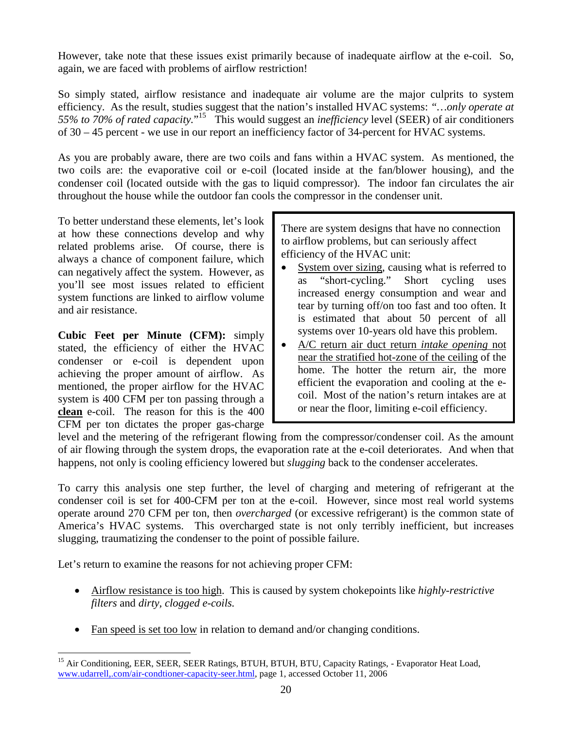However, take note that these issues exist primarily because of inadequate airflow at the e-coil. So, again, we are faced with problems of airflow restriction!

So simply stated, airflow resistance and inadequate air volume are the major culprits to system efficiency. As the result, studies suggest that the nation's installed HVAC systems: *"…only operate at 55% to 70% of rated capacity.*" [15](#page-19-0) This would suggest an *inefficiency* level (SEER) of air conditioners of 30 – 45 percent - we use in our report an inefficiency factor of 34-percent for HVAC systems.

As you are probably aware, there are two coils and fans within a HVAC system. As mentioned, the two coils are: the evaporative coil or e-coil (located inside at the fan/blower housing), and the condenser coil (located outside with the gas to liquid compressor). The indoor fan circulates the air throughout the house while the outdoor fan cools the compressor in the condenser unit.

To better understand these elements, let's look at how these connections develop and why related problems arise. Of course, there is always a chance of component failure, which can negatively affect the system. However, as you'll see most issues related to efficient system functions are linked to airflow volume and air resistance.

**Cubic Feet per Minute (CFM):** simply stated, the efficiency of either the HVAC condenser or e-coil is dependent upon achieving the proper amount of airflow. As mentioned, the proper airflow for the HVAC system is 400 CFM per ton passing through a **clean** e-coil. The reason for this is the 400 CFM per ton dictates the proper gas-charge

There are system designs that have no connection to airflow problems, but can seriously affect efficiency of the HVAC unit:

- System over sizing, causing what is referred to as "short-cycling." Short cycling uses increased energy consumption and wear and tear by turning off/on too fast and too often. It is estimated that about 50 percent of all systems over 10-years old have this problem.
- A/C return air duct return *intake opening* not near the stratified hot-zone of the ceiling of the home. The hotter the return air, the more efficient the evaporation and cooling at the ecoil. Most of the nation's return intakes are at or near the floor, limiting e-coil efficiency.

level and the metering of the refrigerant flowing from the compressor/condenser coil. As the amount of air flowing through the system drops, the evaporation rate at the e-coil deteriorates. And when that happens, not only is cooling efficiency lowered but *slugging* back to the condenser accelerates.

To carry this analysis one step further, the level of charging and metering of refrigerant at the condenser coil is set for 400-CFM per ton at the e-coil. However, since most real world systems operate around 270 CFM per ton, then *overcharged* (or excessive refrigerant) is the common state of America's HVAC systems. This overcharged state is not only terribly inefficient, but increases slugging, traumatizing the condenser to the point of possible failure.

Let's return to examine the reasons for not achieving proper CFM:

- Airflow resistance is too high. This is caused by system chokepoints like *highly-restrictive filters* and *dirty, clogged e-coils.*
- Fan speed is set too low in relation to demand and/or changing conditions.

<span id="page-19-0"></span><sup>&</sup>lt;sup>15</sup> Air Conditioning, EER, SEER, SEER Ratings, BTUH, BTUH, BTU, Capacity Ratings, - Evaporator Heat Load, www.udarrell,.com/air-condtioner-capacity-seer.html, page 1, accessed October 11, 2006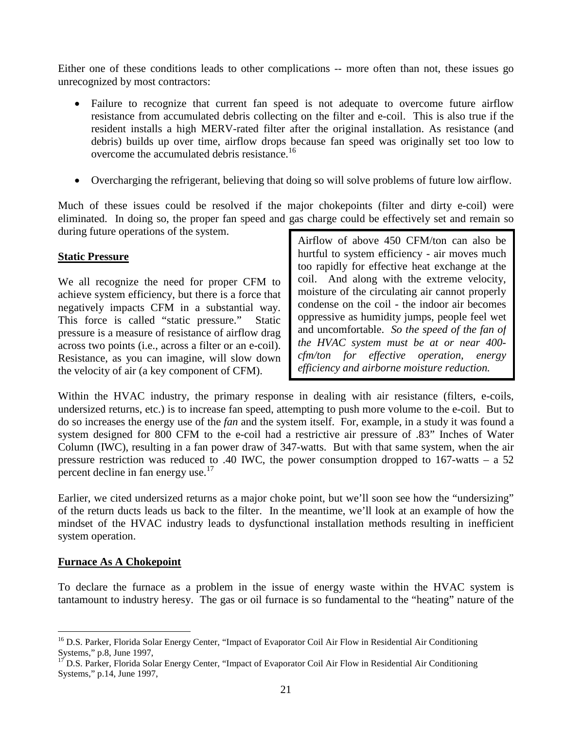Either one of these conditions leads to other complications -- more often than not, these issues go unrecognized by most contractors:

- Failure to recognize that current fan speed is not adequate to overcome future airflow resistance from accumulated debris collecting on the filter and e-coil. This is also true if the resident installs a high MERV-rated filter after the original installation. As resistance (and debris) builds up over time, airflow drops because fan speed was originally set too low to overcome the accumulated debris resistance.[16](#page-20-0)
- Overcharging the refrigerant, believing that doing so will solve problems of future low airflow.

Much of these issues could be resolved if the major chokepoints (filter and dirty e-coil) were eliminated. In doing so, the proper fan speed and gas charge could be effectively set and remain so during future operations of the system.

#### **Static Pressure**

We all recognize the need for proper CFM to achieve system efficiency, but there is a force that negatively impacts CFM in a substantial way. This force is called "static pressure." Static pressure is a measure of resistance of airflow drag across two points (i.e., across a filter or an e-coil). Resistance, as you can imagine, will slow down the velocity of air (a key component of CFM).

Airflow of above 450 CFM/ton can also be hurtful to system efficiency - air moves much too rapidly for effective heat exchange at the coil. And along with the extreme velocity, moisture of the circulating air cannot properly condense on the coil - the indoor air becomes oppressive as humidity jumps, people feel wet and uncomfortable. *So the speed of the fan of the HVAC system must be at or near 400 cfm/ton for effective operation, energy efficiency and airborne moisture reduction.*

Within the HVAC industry, the primary response in dealing with air resistance (filters, e-coils, undersized returns, etc.) is to increase fan speed, attempting to push more volume to the e-coil. But to do so increases the energy use of the *fan* and the system itself. For, example, in a study it was found a system designed for 800 CFM to the e-coil had a restrictive air pressure of .83" Inches of Water Column (IWC), resulting in a fan power draw of 347-watts. But with that same system, when the air pressure restriction was reduced to .40 IWC, the power consumption dropped to 167-watts – a 52 percentdecline in fan energy use[.](#page-20-1) $17$ 

Earlier, we cited undersized returns as a major choke point, but we'll soon see how the "undersizing" of the return ducts leads us back to the filter. In the meantime, we'll look at an example of how the mindset of the HVAC industry leads to dysfunctional installation methods resulting in inefficient system operation.

#### **Furnace As A Chokepoint**

To declare the furnace as a problem in the issue of energy waste within the HVAC system is tantamount to industry heresy. The gas or oil furnace is so fundamental to the "heating" nature of the

<span id="page-20-0"></span><sup>&</sup>lt;sup>16</sup> D.S. Parker, Florida Solar Energy Center, "Impact of Evaporator Coil Air Flow in Residential Air Conditioning Systems," p.8, June 1997,

<span id="page-20-1"></span><sup>17</sup> D.S. Parker, Florida Solar Energy Center, "Impact of Evaporator Coil Air Flow in Residential Air Conditioning Systems," p.14, June 1997,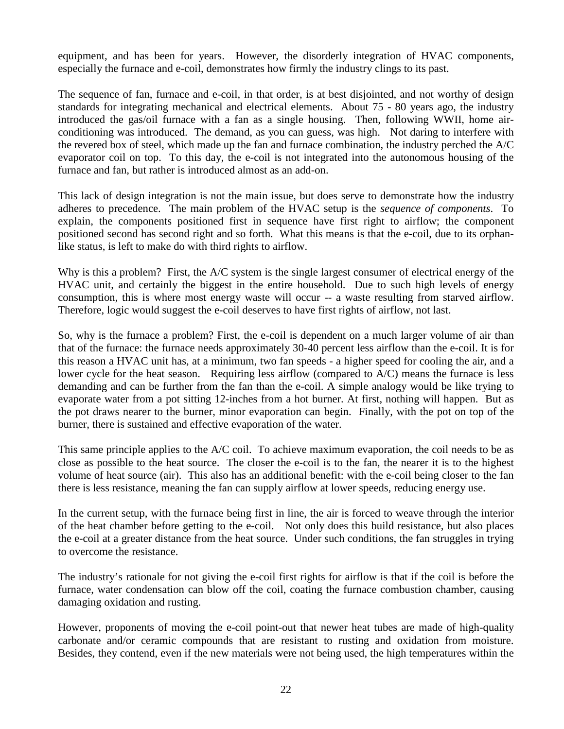equipment, and has been for years. However, the disorderly integration of HVAC components, especially the furnace and e-coil, demonstrates how firmly the industry clings to its past.

The sequence of fan, furnace and e-coil, in that order, is at best disjointed, and not worthy of design standards for integrating mechanical and electrical elements. About 75 - 80 years ago, the industry introduced the gas/oil furnace with a fan as a single housing. Then, following WWII, home airconditioning was introduced. The demand, as you can guess, was high. Not daring to interfere with the revered box of steel, which made up the fan and furnace combination, the industry perched the A/C evaporator coil on top. To this day, the e-coil is not integrated into the autonomous housing of the furnace and fan, but rather is introduced almost as an add-on.

This lack of design integration is not the main issue, but does serve to demonstrate how the industry adheres to precedence. The main problem of the HVAC setup is the *sequence of components*. To explain, the components positioned first in sequence have first right to airflow; the component positioned second has second right and so forth. What this means is that the e-coil, due to its orphanlike status, is left to make do with third rights to airflow.

Why is this a problem? First, the A/C system is the single largest consumer of electrical energy of the HVAC unit, and certainly the biggest in the entire household. Due to such high levels of energy consumption, this is where most energy waste will occur -- a waste resulting from starved airflow. Therefore, logic would suggest the e-coil deserves to have first rights of airflow, not last.

So, why is the furnace a problem? First, the e-coil is dependent on a much larger volume of air than that of the furnace: the furnace needs approximately 30-40 percent less airflow than the e-coil. It is for this reason a HVAC unit has, at a minimum, two fan speeds - a higher speed for cooling the air, and a lower cycle for the heat season. Requiring less airflow (compared to A/C) means the furnace is less demanding and can be further from the fan than the e-coil. A simple analogy would be like trying to evaporate water from a pot sitting 12-inches from a hot burner. At first, nothing will happen. But as the pot draws nearer to the burner, minor evaporation can begin. Finally, with the pot on top of the burner, there is sustained and effective evaporation of the water.

This same principle applies to the A/C coil. To achieve maximum evaporation, the coil needs to be as close as possible to the heat source. The closer the e-coil is to the fan, the nearer it is to the highest volume of heat source (air). This also has an additional benefit: with the e-coil being closer to the fan there is less resistance, meaning the fan can supply airflow at lower speeds, reducing energy use.

In the current setup, with the furnace being first in line, the air is forced to weave through the interior of the heat chamber before getting to the e-coil. Not only does this build resistance, but also places the e-coil at a greater distance from the heat source. Under such conditions, the fan struggles in trying to overcome the resistance.

The industry's rationale for <u>not</u> giving the e-coil first rights for airflow is that if the coil is before the furnace, water condensation can blow off the coil, coating the furnace combustion chamber, causing damaging oxidation and rusting.

However, proponents of moving the e-coil point-out that newer heat tubes are made of high-quality carbonate and/or ceramic compounds that are resistant to rusting and oxidation from moisture. Besides, they contend, even if the new materials were not being used, the high temperatures within the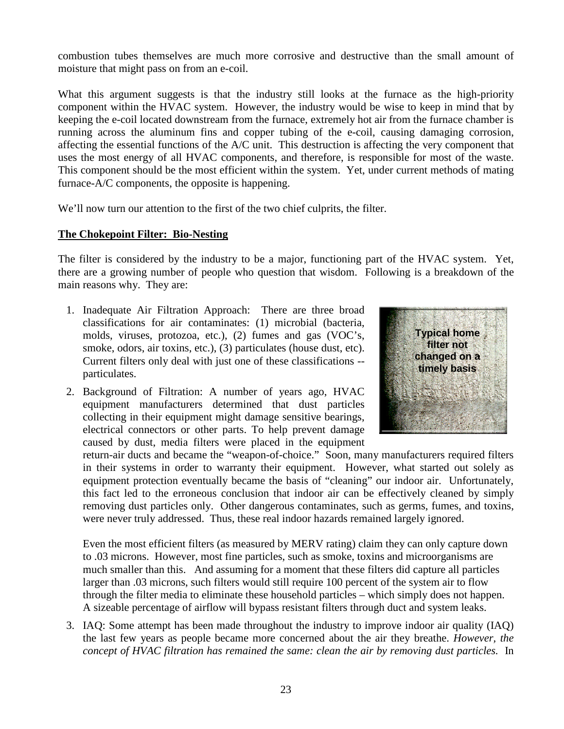combustion tubes themselves are much more corrosive and destructive than the small amount of moisture that might pass on from an e-coil.

What this argument suggests is that the industry still looks at the furnace as the high-priority component within the HVAC system. However, the industry would be wise to keep in mind that by keeping the e-coil located downstream from the furnace, extremely hot air from the furnace chamber is running across the aluminum fins and copper tubing of the e-coil, causing damaging corrosion, affecting the essential functions of the A/C unit. This destruction is affecting the very component that uses the most energy of all HVAC components, and therefore, is responsible for most of the waste. This component should be the most efficient within the system. Yet, under current methods of mating furnace-A/C components, the opposite is happening.

We'll now turn our attention to the first of the two chief culprits, the filter.

## **The Chokepoint Filter: Bio-Nesting**

The filter is considered by the industry to be a major, functioning part of the HVAC system. Yet, there are a growing number of people who question that wisdom. Following is a breakdown of the main reasons why. They are:

- 1. Inadequate Air Filtration Approach: There are three broad classifications for air contaminates: (1) microbial (bacteria, molds, viruses, protozoa, etc.), (2) fumes and gas (VOC's, smoke, odors, air toxins, etc.), (3) particulates (house dust, etc). Current filters only deal with just one of these classifications - particulates.
- 2. Background of Filtration: A number of years ago, HVAC equipment manufacturers determined that dust particles collecting in their equipment might damage sensitive bearings, electrical connectors or other parts. To help prevent damage caused by dust, media filters were placed in the equipment



return-air ducts and became the "weapon-of-choice." Soon, many manufacturers required filters in their systems in order to warranty their equipment. However, what started out solely as equipment protection eventually became the basis of "cleaning" our indoor air. Unfortunately, this fact led to the erroneous conclusion that indoor air can be effectively cleaned by simply removing dust particles only. Other dangerous contaminates, such as germs, fumes, and toxins, were never truly addressed. Thus, these real indoor hazards remained largely ignored.

Even the most efficient filters (as measured by MERV rating) claim they can only capture down to .03 microns. However, most fine particles, such as smoke, toxins and microorganisms are much smaller than this. And assuming for a moment that these filters did capture all particles larger than .03 microns, such filters would still require 100 percent of the system air to flow through the filter media to eliminate these household particles – which simply does not happen. A sizeable percentage of airflow will bypass resistant filters through duct and system leaks.

3. IAQ: Some attempt has been made throughout the industry to improve indoor air quality (IAQ) the last few years as people became more concerned about the air they breathe. *However, the concept of HVAC filtration has remained the same: clean the air by removing dust particles.* In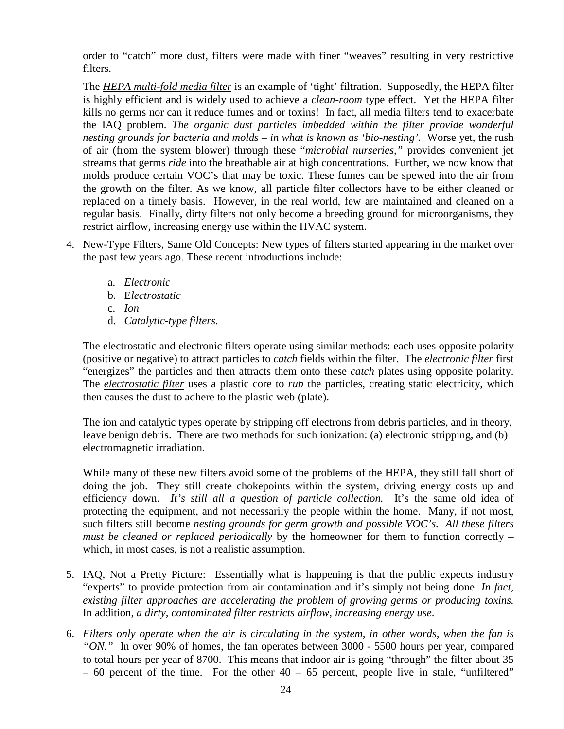order to "catch" more dust, filters were made with finer "weaves" resulting in very restrictive filters.

The *HEPA multi-fold media filter* is an example of 'tight' filtration. Supposedly, the HEPA filter is highly efficient and is widely used to achieve a *clean-room* type effect. Yet the HEPA filter kills no germs nor can it reduce fumes and or toxins! In fact, all media filters tend to exacerbate the IAQ problem. *The organic dust particles imbedded within the filter provide wonderful nesting grounds for bacteria and molds – in what is known as 'bio-nesting'.* Worse yet, the rush of air (from the system blower) through these "*microbial nurseries,"* provides convenient jet streams that germs *ride* into the breathable air at high concentrations. Further, we now know that molds produce certain VOC's that may be toxic. These fumes can be spewed into the air from the growth on the filter. As we know, all particle filter collectors have to be either cleaned or replaced on a timely basis. However, in the real world, few are maintained and cleaned on a regular basis. Finally, dirty filters not only become a breeding ground for microorganisms, they restrict airflow, increasing energy use within the HVAC system.

- 4. New-Type Filters, Same Old Concepts: New types of filters started appearing in the market over the past few years ago. These recent introductions include:
	- a. *Electronic*
	- b. E*lectrostatic*
	- c. *Ion*
	- d. *Catalytic-type filters*.

The electrostatic and electronic filters operate using similar methods: each uses opposite polarity (positive or negative) to attract particles to *catch* fields within the filter. The *electronic filter* first "energizes" the particles and then attracts them onto these *catch* plates using opposite polarity. The *electrostatic filter* uses a plastic core to *rub* the particles, creating static electricity, which then causes the dust to adhere to the plastic web (plate).

The ion and catalytic types operate by stripping off electrons from debris particles, and in theory, leave benign debris. There are two methods for such ionization: (a) electronic stripping, and (b) electromagnetic irradiation.

While many of these new filters avoid some of the problems of the HEPA, they still fall short of doing the job. They still create chokepoints within the system, driving energy costs up and efficiency down. *It's still all a question of particle collection.* It's the same old idea of protecting the equipment, and not necessarily the people within the home. Many, if not most, such filters still become *nesting grounds for germ growth and possible VOC's. All these filters must be cleaned or replaced periodically* by the homeowner for them to function correctly – which, in most cases, is not a realistic assumption.

- 5. IAQ, Not a Pretty Picture: Essentially what is happening is that the public expects industry "experts" to provide protection from air contamination and it's simply not being done. *In fact, existing filter approaches are accelerating the problem of growing germs or producing toxins.* In addition, *a dirty, contaminated filter restricts airflow, increasing energy use*.
- 6. *Filters only operate when the air is circulating in the system, in other words, when the fan is "ON."* In over 90% of homes, the fan operates between 3000 - 5500 hours per year, compared to total hours per year of 8700. This means that indoor air is going "through" the filter about 35  $-60$  percent of the time. For the other  $40 - 65$  percent, people live in stale, "unfiltered"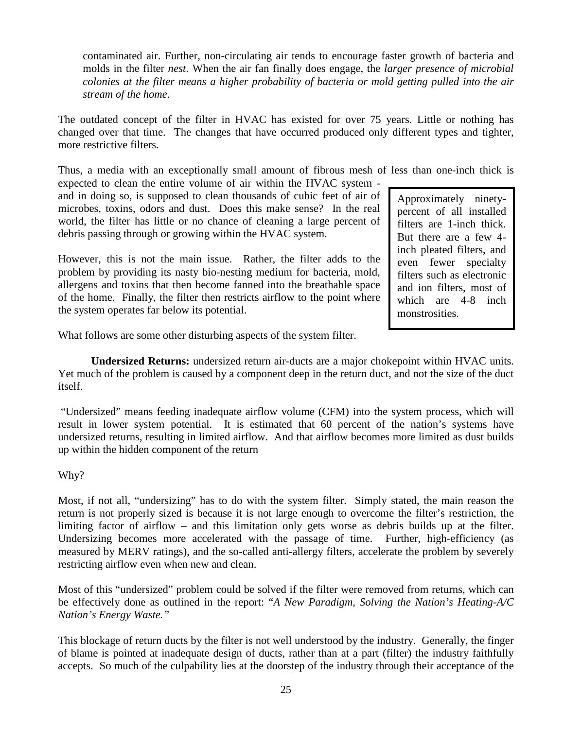contaminated air. Further, non-circulating air tends to encourage faster growth of bacteria and molds in the filter *nest*. When the air fan finally does engage, the *larger presence of microbial colonies at the filter means a higher probability of bacteria or mold getting pulled into the air stream of the home*.

The outdated concept of the filter in HVAC has existed for over 75 years. Little or nothing has changed over that time. The changes that have occurred produced only different types and tighter, more restrictive filters.

Thus, a media with an exceptionally small amount of fibrous mesh of less than one-inch thick is

expected to clean the entire volume of air within the HVAC system and in doing so, is supposed to clean thousands of cubic feet of air of microbes, toxins, odors and dust. Does this make sense? In the real world, the filter has little or no chance of cleaning a large percent of debris passing through or growing within the HVAC system.

However, this is not the main issue. Rather, the filter adds to the problem by providing its nasty bio-nesting medium for bacteria, mold, allergens and toxins that then become fanned into the breathable space of the home. Finally, the filter then restricts airflow to the point where the system operates far below its potential.

Approximately ninetypercent of all installed filters are 1-inch thick. But there are a few 4 inch pleated filters, and even fewer specialty filters such as electronic and ion filters, most of which are 4-8 inch monstrosities.

What follows are some other disturbing aspects of the system filter.

**Undersized Returns:** undersized return air-ducts are a major chokepoint within HVAC units. Yet much of the problem is caused by a component deep in the return duct, and not the size of the duct itself.

"Undersized" means feeding inadequate airflow volume (CFM) into the system process, which will result in lower system potential. It is estimated that 60 percent of the nation's systems have undersized returns, resulting in limited airflow. And that airflow becomes more limited as dust builds up within the hidden component of the return

## Why?

Most, if not all, "undersizing" has to do with the system filter. Simply stated, the main reason the return is not properly sized is because it is not large enough to overcome the filter's restriction, the limiting factor of airflow – and this limitation only gets worse as debris builds up at the filter. Undersizing becomes more accelerated with the passage of time. Further, high-efficiency (as measured by MERV ratings), and the so-called anti-allergy filters, accelerate the problem by severely restricting airflow even when new and clean.

Most of this "undersized" problem could be solved if the filter were removed from returns, which can be effectively done as outlined in the report: "*A New Paradigm, Solving the Nation's Heating-A/C Nation's Energy Waste."*

This blockage of return ducts by the filter is not well understood by the industry. Generally, the finger of blame is pointed at inadequate design of ducts, rather than at a part (filter) the industry faithfully accepts. So much of the culpability lies at the doorstep of the industry through their acceptance of the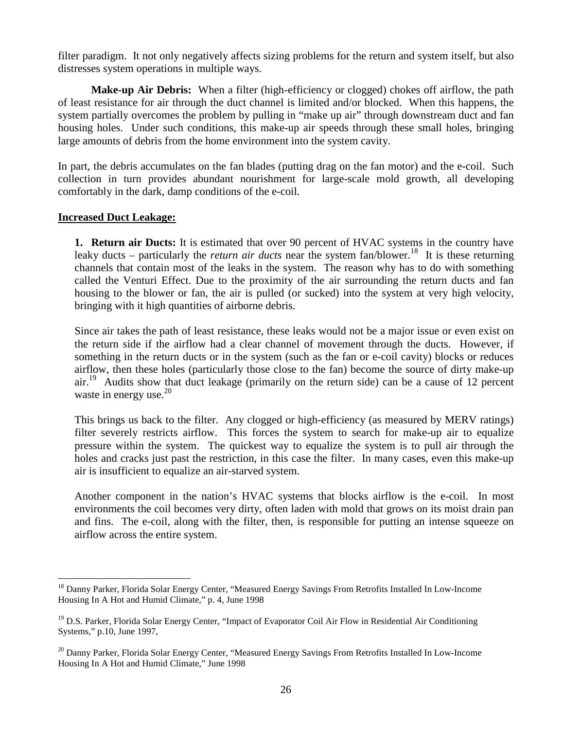filter paradigm. It not only negatively affects sizing problems for the return and system itself, but also distresses system operations in multiple ways.

**Make-up Air Debris:** When a filter (high-efficiency or clogged) chokes off airflow, the path of least resistance for air through the duct channel is limited and/or blocked. When this happens, the system partially overcomes the problem by pulling in "make up air" through downstream duct and fan housing holes. Under such conditions, this make-up air speeds through these small holes, bringing large amounts of debris from the home environment into the system cavity.

In part, the debris accumulates on the fan blades (putting drag on the fan motor) and the e-coil. Such collection in turn provides abundant nourishment for large-scale mold growth, all developing comfortably in the dark, damp conditions of the e-coil.

#### **Increased Duct Leakage:**

**1. Return air Ducts:** It is estimated that over 90 percent of HVAC systems in the country have leaky ducts – particularly the *return air ducts* near the system fan/blower.<sup>[18](#page-25-0)</sup> It is these returning channels that contain most of the leaks in the system. The reason why has to do with something called the Venturi Effect. Due to the proximity of the air surrounding the return ducts and fan housing to the blower or fan, the air is pulled (or sucked) into the system at very high velocity, bringing with it high quantities of airborne debris.

Since air takes the path of least resistance, these leaks would not be a major issue or even exist on the return side if the airflow had a clear channel of movement through the ducts. However, if something in the return ducts or in the system (such as the fan or e-coil cavity) blocks or reduces airflow, then these holes (particularly those close to the fan) become the source of dirty make-up  $air<sup>19</sup>$  $air<sup>19</sup>$  $air<sup>19</sup>$  Audits show that duct leakage (primarily on the return side) can be a cause of 12 percent wastein energy use[.](#page-25-2) $20$ 

This brings us back to the filter. Any clogged or high-efficiency (as measured by MERV ratings) filter severely restricts airflow. This forces the system to search for make-up air to equalize pressure within the system. The quickest way to equalize the system is to pull air through the holes and cracks just past the restriction, in this case the filter. In many cases, even this make-up air is insufficient to equalize an air-starved system.

Another component in the nation's HVAC systems that blocks airflow is the e-coil. In most environments the coil becomes very dirty, often laden with mold that grows on its moist drain pan and fins. The e-coil, along with the filter, then, is responsible for putting an intense squeeze on airflow across the entire system.

<span id="page-25-0"></span><sup>&</sup>lt;sup>18</sup> Danny Parker, Florida Solar Energy Center, "Measured Energy Savings From Retrofits Installed In Low-Income Housing In A Hot and Humid Climate," p. 4, June 1998

<span id="page-25-1"></span><sup>&</sup>lt;sup>19</sup> D.S. Parker, Florida Solar Energy Center, "Impact of Evaporator Coil Air Flow in Residential Air Conditioning Systems," p.10, June 1997,

<span id="page-25-2"></span><sup>&</sup>lt;sup>20</sup> Danny Parker, Florida Solar Energy Center, "Measured Energy Savings From Retrofits Installed In Low-Income Housing In A Hot and Humid Climate," June 1998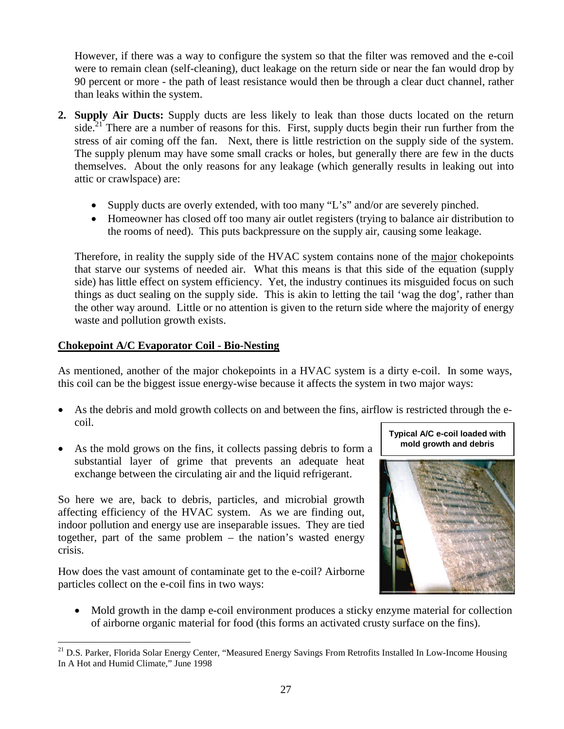However, if there was a way to configure the system so that the filter was removed and the e-coil were to remain clean (self-cleaning), duct leakage on the return side or near the fan would drop by 90 percent or more - the path of least resistance would then be through a clear duct channel, rather than leaks within the system.

- **2. Supply Air Ducts:** Supply ducts are less likely to leak than those ducts located on the return side.<sup>[21](#page-26-0)</sup> There are a number of reasons for this. First, supply ducts begin their run further from the stress of air coming off the fan. Next, there is little restriction on the supply side of the system. The supply plenum may have some small cracks or holes, but generally there are few in the ducts themselves. About the only reasons for any leakage (which generally results in leaking out into attic or crawlspace) are:
	- Supply ducts are overly extended, with too many "L's" and/or are severely pinched.
	- Homeowner has closed off too many air outlet registers (trying to balance air distribution to the rooms of need). This puts backpressure on the supply air, causing some leakage.

Therefore, in reality the supply side of the HVAC system contains none of the major chokepoints that starve our systems of needed air. What this means is that this side of the equation (supply side) has little effect on system efficiency. Yet, the industry continues its misguided focus on such things as duct sealing on the supply side. This is akin to letting the tail 'wag the dog', rather than the other way around. Little or no attention is given to the return side where the majority of energy waste and pollution growth exists.

## **Chokepoint A/C Evaporator Coil - Bio-Nesting**

As mentioned, another of the major chokepoints in a HVAC system is a dirty e-coil. In some ways, this coil can be the biggest issue energy-wise because it affects the system in two major ways:

- As the debris and mold growth collects on and between the fins, airflow is restricted through the ecoil.
- As the mold grows on the fins, it collects passing debris to form a substantial layer of grime that prevents an adequate heat exchange between the circulating air and the liquid refrigerant.

So here we are, back to debris, particles, and microbial growth affecting efficiency of the HVAC system. As we are finding out, indoor pollution and energy use are inseparable issues. They are tied together, part of the same problem – the nation's wasted energy crisis.

How does the vast amount of contaminate get to the e-coil? Airborne particles collect on the e-coil fins in two ways:



 Mold growth in the damp e-coil environment produces a sticky enzyme material for collection of airborne organic material for food (this forms an activated crusty surface on the fins).

<span id="page-26-0"></span><sup>&</sup>lt;sup>21</sup> D.S. Parker, Florida Solar Energy Center, "Measured Energy Savings From Retrofits Installed In Low-Income Housing In A Hot and Humid Climate," June 1998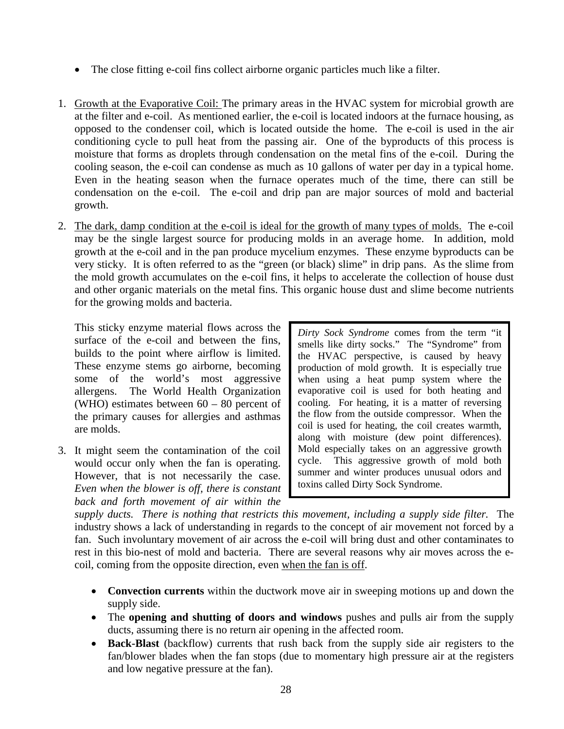- The close fitting e-coil fins collect airborne organic particles much like a filter.
- 1. Growth at the Evaporative Coil: The primary areas in the HVAC system for microbial growth are at the filter and e-coil. As mentioned earlier, the e-coil is located indoors at the furnace housing, as opposed to the condenser coil, which is located outside the home. The e-coil is used in the air conditioning cycle to pull heat from the passing air. One of the byproducts of this process is moisture that forms as droplets through condensation on the metal fins of the e-coil. During the cooling season, the e-coil can condense as much as 10 gallons of water per day in a typical home. Even in the heating season when the furnace operates much of the time, there can still be condensation on the e-coil. The e-coil and drip pan are major sources of mold and bacterial growth.
- 2. The dark, damp condition at the e-coil is ideal for the growth of many types of molds. The e-coil may be the single largest source for producing molds in an average home. In addition, mold growth at the e-coil and in the pan produce mycelium enzymes. These enzyme byproducts can be very sticky. It is often referred to as the "green (or black) slime" in drip pans. As the slime from the mold growth accumulates on the e-coil fins, it helps to accelerate the collection of house dust and other organic materials on the metal fins. This organic house dust and slime become nutrients for the growing molds and bacteria.

This sticky enzyme material flows across the surface of the e-coil and between the fins, builds to the point where airflow is limited. These enzyme stems go airborne, becoming some of the world's most aggressive allergens. The World Health Organization (WHO) estimates between  $60 - 80$  percent of the primary causes for allergies and asthmas are molds.

3. It might seem the contamination of the coil would occur only when the fan is operating. However, that is not necessarily the case. *Even when the blower is off, there is constant back and forth movement of air within the*

*Dirty Sock Syndrome* comes from the term "it smells like dirty socks." The "Syndrome" from the HVAC perspective, is caused by heavy production of mold growth. It is especially true when using a heat pump system where the evaporative coil is used for both heating and cooling. For heating, it is a matter of reversing the flow from the outside compressor. When the coil is used for heating, the coil creates warmth, along with moisture (dew point differences). Mold especially takes on an aggressive growth cycle. This aggressive growth of mold both summer and winter produces unusual odors and toxins called Dirty Sock Syndrome.

*supply ducts. There is nothing that restricts this movement, including a supply side filter.* The industry shows a lack of understanding in regards to the concept of air movement not forced by a fan. Such involuntary movement of air across the e-coil will bring dust and other contaminates to rest in this bio-nest of mold and bacteria. There are several reasons why air moves across the ecoil, coming from the opposite direction, even when the fan is off.

- **Convection currents** within the ductwork move air in sweeping motions up and down the supply side.
- The **opening and shutting of doors and windows** pushes and pulls air from the supply ducts, assuming there is no return air opening in the affected room.
- **Back-Blast** (backflow) currents that rush back from the supply side air registers to the fan/blower blades when the fan stops (due to momentary high pressure air at the registers and low negative pressure at the fan).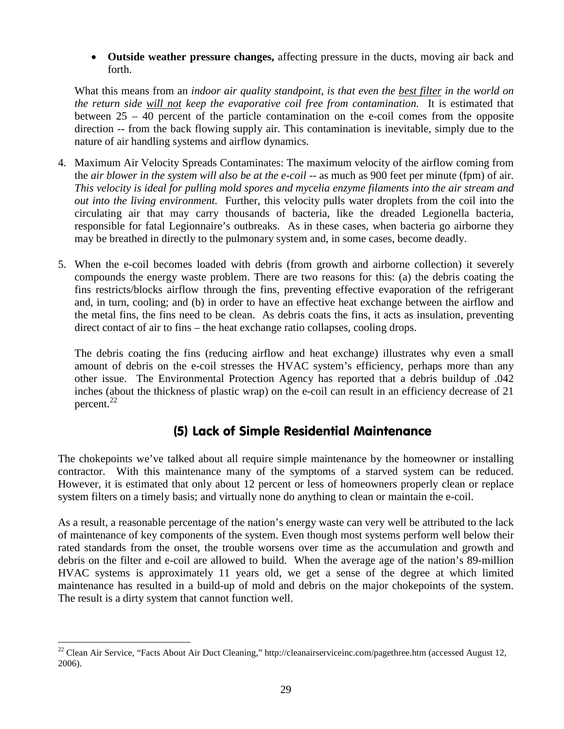**Outside weather pressure changes,** affecting pressure in the ducts, moving air back and forth.

What this means from an *indoor air quality standpoint, is that even the best filter in the world on the return side will not keep the evaporative coil free from contamination.* It is estimated that between 25 – 40 percent of the particle contamination on the e-coil comes from the opposite direction -- from the back flowing supply air. This contamination is inevitable, simply due to the nature of air handling systems and airflow dynamics.

- 4. Maximum Air Velocity Spreads Contaminates: The maximum velocity of the airflow coming from the *air blower in the system will also be at the e-coil* -- as much as 900 feet per minute (fpm) of air. *This velocity is ideal for pulling mold spores and mycelia enzyme filaments into the air stream and out into the living environment.* Further, this velocity pulls water droplets from the coil into the circulating air that may carry thousands of bacteria, like the dreaded Legionella bacteria, responsible for fatal Legionnaire's outbreaks. As in these cases, when bacteria go airborne they may be breathed in directly to the pulmonary system and, in some cases, become deadly.
- 5. When the e-coil becomes loaded with debris (from growth and airborne collection) it severely compounds the energy waste problem. There are two reasons for this: (a) the debris coating the fins restricts/blocks airflow through the fins, preventing effective evaporation of the refrigerant and, in turn, cooling; and (b) in order to have an effective heat exchange between the airflow and the metal fins, the fins need to be clean. As debris coats the fins, it acts as insulation, preventing direct contact of air to fins – the heat exchange ratio collapses, cooling drops.

The debris coating the fins (reducing airflow and heat exchange) illustrates why even a small amount of debris on the e-coil stresses the HVAC system's efficiency, perhaps more than any other issue. The Environmental Protection Agency has reported that a debris buildup of .042 inches (about the thickness of plastic wrap) on the e-coil can result in an efficiency decrease of 21 percent.<sup>[22](#page-28-0)</sup>

# (5) Lack of Simple Residential Maintenance

The chokepoints we've talked about all require simple maintenance by the homeowner or installing contractor. With this maintenance many of the symptoms of a starved system can be reduced. However, it is estimated that only about 12 percent or less of homeowners properly clean or replace system filters on a timely basis; and virtually none do anything to clean or maintain the e-coil.

As a result, a reasonable percentage of the nation's energy waste can very well be attributed to the lack of maintenance of key components of the system. Even though most systems perform well below their rated standards from the onset, the trouble worsens over time as the accumulation and growth and debris on the filter and e-coil are allowed to build. When the average age of the nation's 89-million HVAC systems is approximately 11 years old, we get a sense of the degree at which limited maintenance has resulted in a build-up of mold and debris on the major chokepoints of the system. The result is a dirty system that cannot function well.

<span id="page-28-0"></span><sup>&</sup>lt;sup>22</sup> Clean Air Service, "Facts About Air Duct Cleaning," http://cleanairserviceinc.com/pagethree.htm (accessed August 12, 2006).